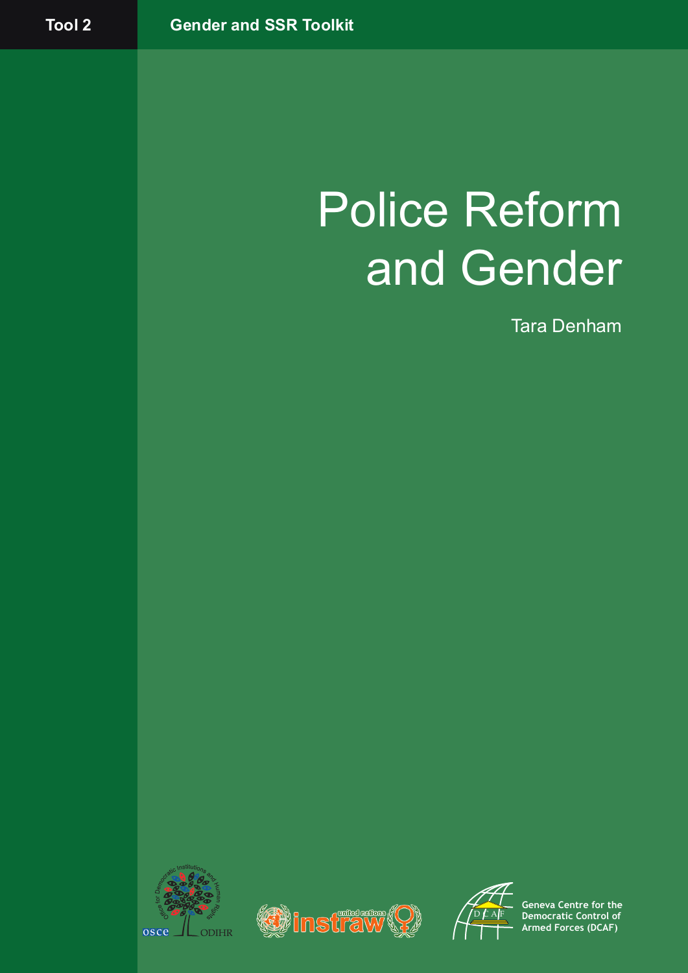# Police Reform and Gender

Tara Denham







**Geneva Centre for the Democratic Control of Armed Forces (DCAF)**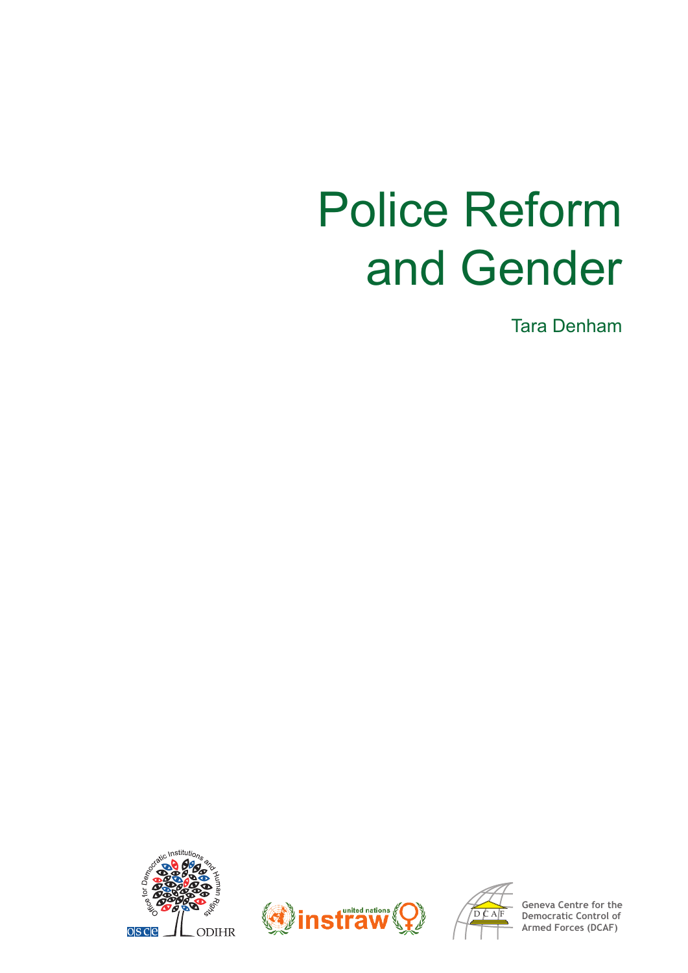# Police Reform and Gender

Tara Denham







**Geneva Centre for the Democratic Armed Forces (DCAF)**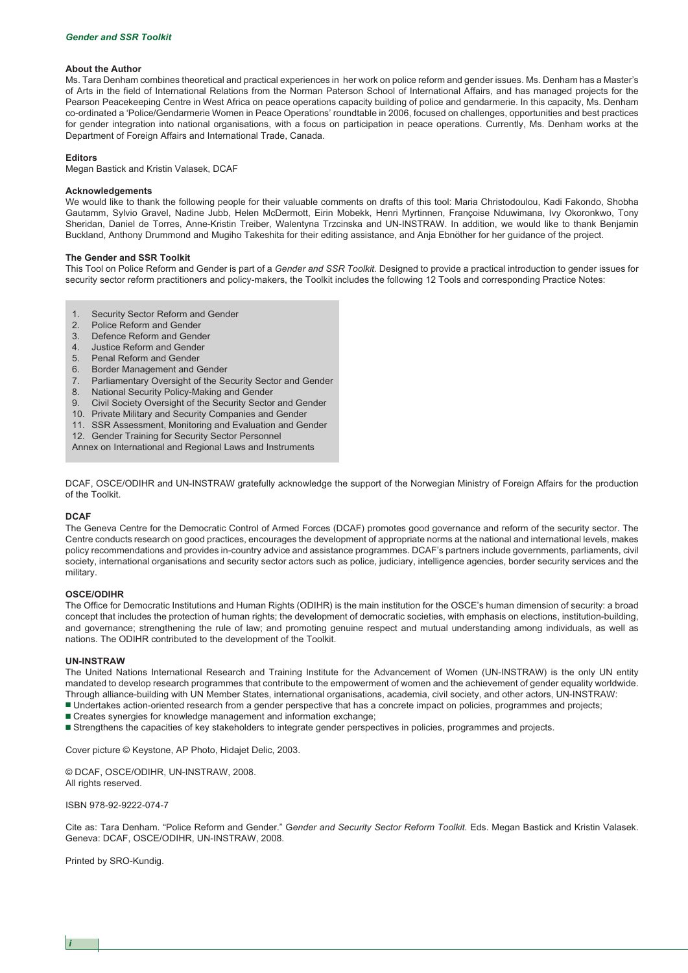#### **About the Author**

Ms. Tara Denham combines theoretical and practical experiences in her work on police reform and gender issues. Ms. Denham has a Master's of Arts in the field of International Relations from the Norman Paterson School of International Affairs, and has managed projects for the Pearson Peacekeeping Centre in West Africa on peace operations capacity building of police and gendarmerie. In this capacity, Ms. Denham co-ordinated a 'Police/Gendarmerie Women in Peace Operations' roundtable in 2006, focused on challenges, opportunities and best practices for gender integration into national organisations, with a focus on participation in peace operations. Currently, Ms. Denham works at the Department of Foreign Affairs and International Trade, Canada.

#### **Editors**

Megan Bastick and Kristin Valasek, DCAF

#### **Acknowledgements**

We would like to thank the following people for their valuable comments on drafts of this tool: Maria Christodoulou, Kadi Fakondo, Shobha Gautamm, Sylvio Gravel, Nadine Jubb, Helen McDermott, Eirin Mobekk, Henri Myrtinnen, Françoise Nduwimana, Ivy Okoronkwo, Tony Sheridan, Daniel de Torres, Anne-Kristin Treiber, Walentyna Trzcinska and UN-INSTRAW. In addition, we would like to thank Benjamin Buckland, Anthony Drummond and Mugiho Takeshita for their editing assistance, and Anja Ebnöther for her guidance of the project.

#### **The Gender and SSR Toolkit**

This Tool on Police Reform and Gender is part of a *Gender and SSR Toolkit.* Designed to provide a practical introduction to gender issues for security sector reform practitioners and policy-makers, the Toolkit includes the following 12 Tools and corresponding Practice Notes:

- 1. Security Sector Reform and Gender
- 2. Police Reform and Gender
- 3. Defence Reform and Gender
- 4. Justice Reform and Gender
- 
- 5. Penal Reform and Gender<br>6. Border Management and G 6. Border Management and Gender
- 7. Parliamentary Oversight of the Security Sector and Gender
- 8. National Security Policy-Making and Gender
- 9. Civil Society Oversight of the Security Sector and Gender
- 10. Private Military and Security Companies and Gender
- 11. SSR Assessment, Monitoring and Evaluation and Gender
- 12. Gender Training for Security Sector Personnel
- Annex on International and Regional Laws and Instruments

DCAF, OSCE/ODIHR and UN-INSTRAW gratefully acknowledge the support of the Norwegian Ministry of Foreign Affairs for the production of the Toolkit.

#### **DCAF**

The Geneva Centre for the Democratic Control of Armed Forces (DCAF) promotes good governance and reform of the security sector. The Centre conducts research on good practices, encourages the development of appropriate norms at the national and international levels, makes policy recommendations and provides in-country advice and assistance programmes. DCAF's partners include governments, parliaments, civil society, international organisations and security sector actors such as police, judiciary, intelligence agencies, border security services and the military.

#### **OSCE/ODIHR**

The Office for Democratic Institutions and Human Rights (ODIHR) is the main institution for the OSCE's human dimension of security: a broad concept that includes the protection of human rights; the development of democratic societies, with emphasis on elections, institution-building, and governance; strengthening the rule of law; and promoting genuine respect and mutual understanding among individuals, as well as nations. The ODIHR contributed to the development of the Toolkit.

#### **UN-INSTRAW**

The United Nations International Research and Training Institute for the Advancement of Women (UN-INSTRAW) is the only UN entity mandated to develop research programmes that contribute to the empowerment of women and the achievement of gender equality worldwide. Through alliance-building with UN Member States, international organisations, academia, civil society, and other actors, UN-INSTRAW:

- Undertakes action-oriented research from a gender perspective that has a concrete impact on policies, programmes and projects;
- Creates synergies for knowledge management and information exchange;
- **■** Strengthens the capacities of key stakeholders to integrate gender perspectives in policies, programmes and projects.

Cover picture © Keystone, AP Photo, Hidajet Delic, 2003.

© DCAF, OSCE/ODIHR, UN-INSTRAW, 2008. All rights reserved.

ISBN 978-92-9222-074-7

Cite as: Tara Denham. "Police Reform and Gender." G*ender and Security Sector Reform Toolkit.* Eds. Megan Bastick and Kristin Valasek. Geneva: DCAF, OSCE/ODIHR, UN-INSTRAW, 2008.

Printed by SRO-Kundig.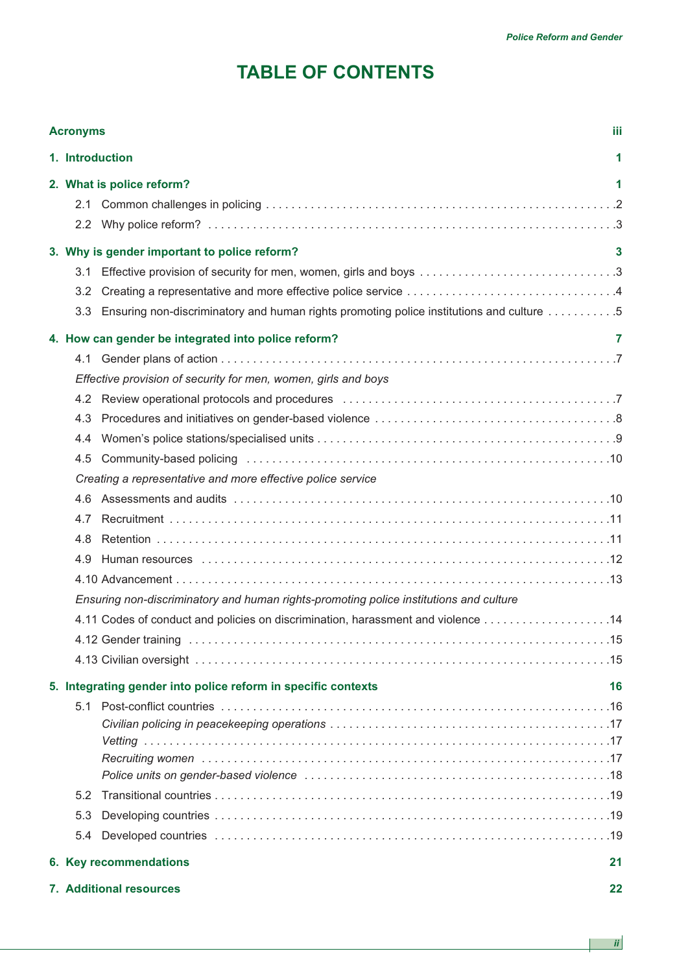# **TABLE OF CONTENTS**

| iii<br><b>Acronyms</b> |                                                             |                                                                                          |    |  |  |
|------------------------|-------------------------------------------------------------|------------------------------------------------------------------------------------------|----|--|--|
|                        | 1. Introduction<br>1                                        |                                                                                          |    |  |  |
|                        | 2. What is police reform?<br>1                              |                                                                                          |    |  |  |
|                        | 2.1                                                         |                                                                                          |    |  |  |
|                        |                                                             | 3. Why is gender important to police reform?                                             | 3  |  |  |
|                        | 3.1                                                         | Effective provision of security for men, women, girls and boys 3                         |    |  |  |
|                        | 3.2                                                         |                                                                                          |    |  |  |
|                        | 3.3 <sub>1</sub>                                            | Ensuring non-discriminatory and human rights promoting police institutions and culture 5 |    |  |  |
|                        |                                                             | 4. How can gender be integrated into police reform?                                      | 7  |  |  |
|                        | 4.1                                                         |                                                                                          |    |  |  |
|                        |                                                             | Effective provision of security for men, women, girls and boys                           |    |  |  |
|                        |                                                             |                                                                                          |    |  |  |
|                        | 4.3                                                         |                                                                                          |    |  |  |
|                        | 4.4                                                         |                                                                                          |    |  |  |
|                        | 4.5                                                         |                                                                                          |    |  |  |
|                        | Creating a representative and more effective police service |                                                                                          |    |  |  |
|                        | 4.6                                                         |                                                                                          |    |  |  |
|                        | 4.7                                                         |                                                                                          |    |  |  |
|                        | 4.8                                                         |                                                                                          |    |  |  |
|                        | 4.9                                                         |                                                                                          |    |  |  |
|                        |                                                             |                                                                                          |    |  |  |
|                        |                                                             | Ensuring non-discriminatory and human rights-promoting police institutions and culture   |    |  |  |
|                        |                                                             | 4.11 Codes of conduct and policies on discrimination, harassment and violence  14        |    |  |  |
|                        |                                                             |                                                                                          |    |  |  |
|                        |                                                             |                                                                                          |    |  |  |
|                        |                                                             | 5. Integrating gender into police reform in specific contexts                            | 16 |  |  |
|                        |                                                             |                                                                                          |    |  |  |
|                        |                                                             |                                                                                          |    |  |  |
|                        |                                                             |                                                                                          |    |  |  |
|                        |                                                             |                                                                                          |    |  |  |
|                        | 5.2                                                         |                                                                                          |    |  |  |
|                        | 5.3                                                         |                                                                                          |    |  |  |
|                        | 5.4                                                         |                                                                                          |    |  |  |
|                        |                                                             |                                                                                          | 21 |  |  |
|                        |                                                             | 6. Key recommendations                                                                   |    |  |  |
|                        | 7. Additional resources<br>22                               |                                                                                          |    |  |  |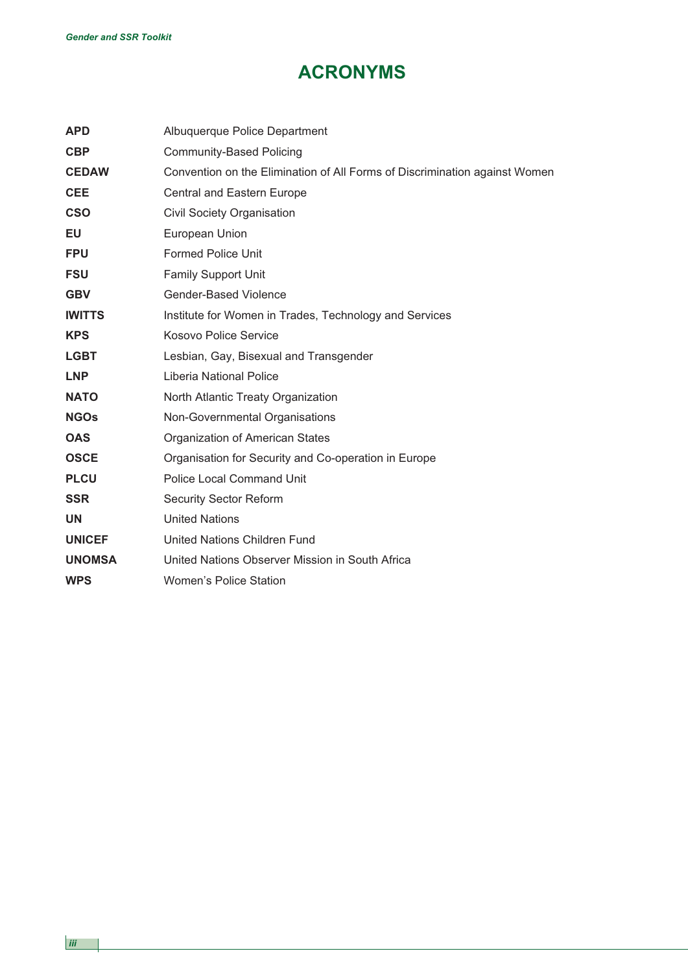# **ACRONYMS**

| <b>APD</b>    | Albuquerque Police Department                                              |
|---------------|----------------------------------------------------------------------------|
| <b>CBP</b>    | <b>Community-Based Policing</b>                                            |
| <b>CEDAW</b>  | Convention on the Elimination of All Forms of Discrimination against Women |
| <b>CEE</b>    | Central and Eastern Europe                                                 |
| <b>CSO</b>    | <b>Civil Society Organisation</b>                                          |
| EU            | European Union                                                             |
| <b>FPU</b>    | <b>Formed Police Unit</b>                                                  |
| <b>FSU</b>    | <b>Family Support Unit</b>                                                 |
| <b>GBV</b>    | <b>Gender-Based Violence</b>                                               |
| <b>IWITTS</b> | Institute for Women in Trades, Technology and Services                     |
| <b>KPS</b>    | <b>Kosovo Police Service</b>                                               |
| <b>LGBT</b>   | Lesbian, Gay, Bisexual and Transgender                                     |
| <b>LNP</b>    | Liberia National Police                                                    |
| <b>NATO</b>   | North Atlantic Treaty Organization                                         |
| <b>NGOs</b>   | Non-Governmental Organisations                                             |
| <b>OAS</b>    | Organization of American States                                            |
| <b>OSCE</b>   | Organisation for Security and Co-operation in Europe                       |
| <b>PLCU</b>   | <b>Police Local Command Unit</b>                                           |
| <b>SSR</b>    | <b>Security Sector Reform</b>                                              |
| <b>UN</b>     | <b>United Nations</b>                                                      |
| <b>UNICEF</b> | United Nations Children Fund                                               |
| <b>UNOMSA</b> | United Nations Observer Mission in South Africa                            |
| <b>WPS</b>    | <b>Women's Police Station</b>                                              |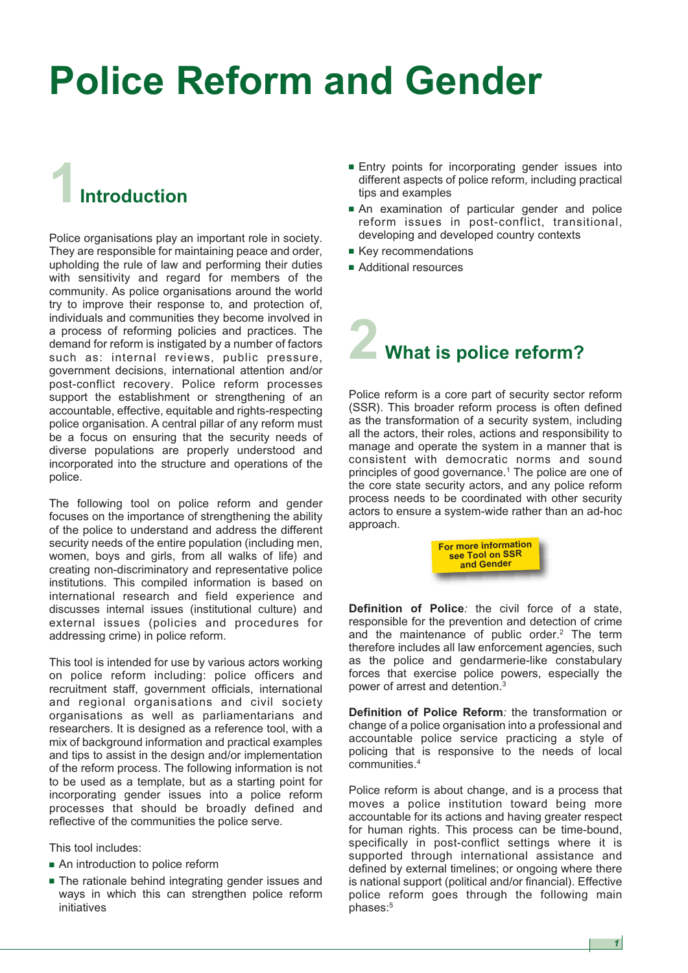# **Police Reform and Gender**

# **1Introduction**

Police organisations play an important role in society. They are responsible for maintaining peace and order, upholding the rule of law and performing their duties with sensitivity and regard for members of the community. As police organisations around the world try to improve their response to, and protection of, individuals and communities they become involved in a process of reforming policies and practices. The demand for reform is instigated by a number of factors such as: internal reviews, public pressure, government decisions, international attention and/or post-conflict recovery. Police reform processes support the establishment or strengthening of an accountable, effective, equitable and rights-respecting police organisation. A central pillar of any reform must be a focus on ensuring that the security needs of diverse populations are properly understood and incorporated into the structure and operations of the police.

The following tool on police reform and gender focuses on the importance of strengthening the ability of the police to understand and address the different security needs of the entire population (including men, women, boys and girls, from all walks of life) and creating non-discriminatory and representative police institutions. This compiled information is based on international research and field experience and discusses internal issues (institutional culture) and external issues (policies and procedures for addressing crime) in police reform.

This tool is intended for use by various actors working on police reform including: police officers and recruitment staff, government officials, international and regional organisations and civil society organisations as well as parliamentarians and researchers. It is designed as a reference tool, with a mix of background information and practical examples and tips to assist in the design and/or implementation of the reform process. The following information is not to be used as a template, but as a starting point for incorporating gender issues into a police reform processes that should be broadly defined and reflective of the communities the police serve.

This tool includes:

- An introduction to police reform
- **■** The rationale behind integrating gender issues and ways in which this can strengthen police reform initiatives
- Entry points for incorporating gender issues into different aspects of police reform, including practical tips and examples
- **■** An examination of particular gender and police reform issues in post-conflict, transitional, developing and developed country contexts
- **■** Key recommendations
- Additional resources

# **2 What is police reform?**

Police reform is a core part of security sector reform (SSR). This broader reform process is often defined as the transformation of a security system, including all the actors, their roles, actions and responsibility to manage and operate the system in a manner that is consistent with democratic norms and sound principles of good governance.<sup>1</sup> The police are one of the core state security actors, and any police reform process needs to be coordinated with other security actors to ensure a system-wide rather than an ad-hoc approach.



**Definition of Police***:* the civil force of a state, responsible for the prevention and detection of crime and the maintenance of public order.<sup>2</sup> The term therefore includes all law enforcement agencies, such as the police and gendarmerie-like constabulary forces that exercise police powers, especially the power of arrest and detention.<sup>3</sup>

**Definition of Police Reform***:* the transformation or change of a police organisation into a professional and accountable police service practicing a style of policing that is responsive to the needs of local communities.4

Police reform is about change, and is a process that moves a police institution toward being more accountable for its actions and having greater respect for human rights. This process can be time-bound, specifically in post-conflict settings where it is supported through international assistance and defined by external timelines; or ongoing where there is national support (political and/or financial). Effective police reform goes through the following main phases:<sup>5</sup>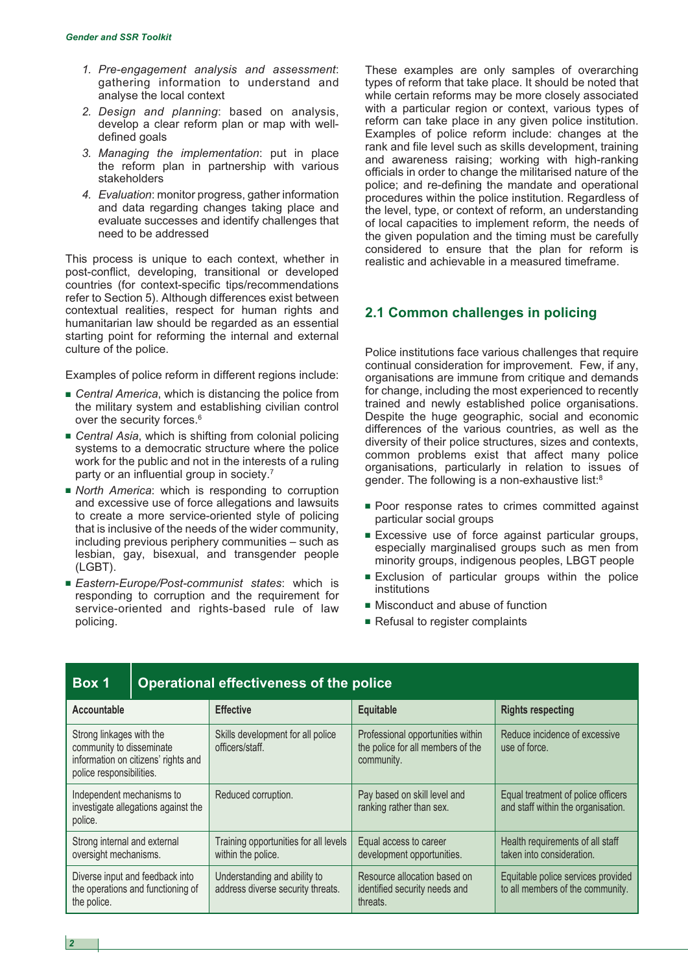- *1. Pre-engagement analysis and assessment*: gathering information to understand and analyse the local context
- *2. Design and planning*: based on analysis, develop a clear reform plan or map with welldefined goals
- *3. Managing the implementation*: put in place the reform plan in partnership with various stakeholders
- *4. Evaluation*: monitor progress, gather information and data regarding changes taking place and evaluate successes and identify challenges that need to be addressed

This process is unique to each context, whether in post-conflict, developing, transitional or developed countries (for context-specific tips/recommendations refer to Section 5). Although differences exist between contextual realities, respect for human rights and humanitarian law should be regarded as an essential starting point for reforming the internal and external culture of the police.

Examples of police reform in different regions include:

- *Central America*, which is distancing the police from the military system and establishing civilian control over the security forces.<sup>6</sup>
- *Central Asia*, which is shifting from colonial policing systems to a democratic structure where the police work for the public and not in the interests of a ruling party or an influential group in society.<sup>7</sup>
- *North America*: which is responding to corruption and excessive use of force allegations and lawsuits to create a more service-oriented style of policing that is inclusive of the needs of the wider community, including previous periphery communities – such as lesbian, gay, bisexual, and transgender people (LGBT).
- **■** *Eastern*-*Europe/Post-communist states*: which is responding to corruption and the requirement for service-oriented and rights-based rule of law policing.

These examples are only samples of overarching types of reform that take place. It should be noted that while certain reforms may be more closely associated with a particular region or context, various types of reform can take place in any given police institution. Examples of police reform include: changes at the rank and file level such as skills development, training and awareness raising; working with high-ranking officials in order to change the militarised nature of the police; and re-defining the mandate and operational procedures within the police institution. Regardless of the level, type, or context of reform, an understanding of local capacities to implement reform, the needs of the given population and the timing must be carefully considered to ensure that the plan for reform is realistic and achievable in a measured timeframe.

# **2.1 Common challenges in policing**

Police institutions face various challenges that require continual consideration for improvement. Few, if any, organisations are immune from critique and demands for change, including the most experienced to recently trained and newly established police organisations. Despite the huge geographic, social and economic differences of the various countries, as well as the diversity of their police structures, sizes and contexts, common problems exist that affect many police organisations, particularly in relation to issues of gender. The following is a non-exhaustive list:<sup>8</sup>

- Poor response rates to crimes committed against particular social groups
- **■** Excessive use of force against particular groups, especially marginalised groups such as men from minority groups, indigenous peoples, LBGT people
- **■** Exclusion of particular groups within the police institutions
- Misconduct and abuse of function
- Refusal to register complaints

| Box 1                                                                                                                   | <b>Operational effectiveness of the police</b> |                                                                   |                                                                                      |                                                                          |
|-------------------------------------------------------------------------------------------------------------------------|------------------------------------------------|-------------------------------------------------------------------|--------------------------------------------------------------------------------------|--------------------------------------------------------------------------|
| Accountable                                                                                                             |                                                | <b>Effective</b>                                                  | <b>Equitable</b>                                                                     | <b>Rights respecting</b>                                                 |
| Strong linkages with the<br>community to disseminate<br>information on citizens' rights and<br>police responsibilities. |                                                | Skills development for all police<br>officers/staff.              | Professional opportunities within<br>the police for all members of the<br>community. | Reduce incidence of excessive<br>use of force.                           |
| Independent mechanisms to<br>investigate allegations against the<br>police.                                             |                                                | Reduced corruption.                                               | Pay based on skill level and<br>ranking rather than sex.                             | Equal treatment of police officers<br>and staff within the organisation. |
| Strong internal and external<br>oversight mechanisms.                                                                   |                                                | Training opportunities for all levels<br>within the police.       | Equal access to career<br>development opportunities.                                 | Health requirements of all staff<br>taken into consideration.            |
| Diverse input and feedback into<br>the operations and functioning of<br>the police.                                     |                                                | Understanding and ability to<br>address diverse security threats. | Resource allocation based on<br>identified security needs and<br>threats.            | Equitable police services provided<br>to all members of the community.   |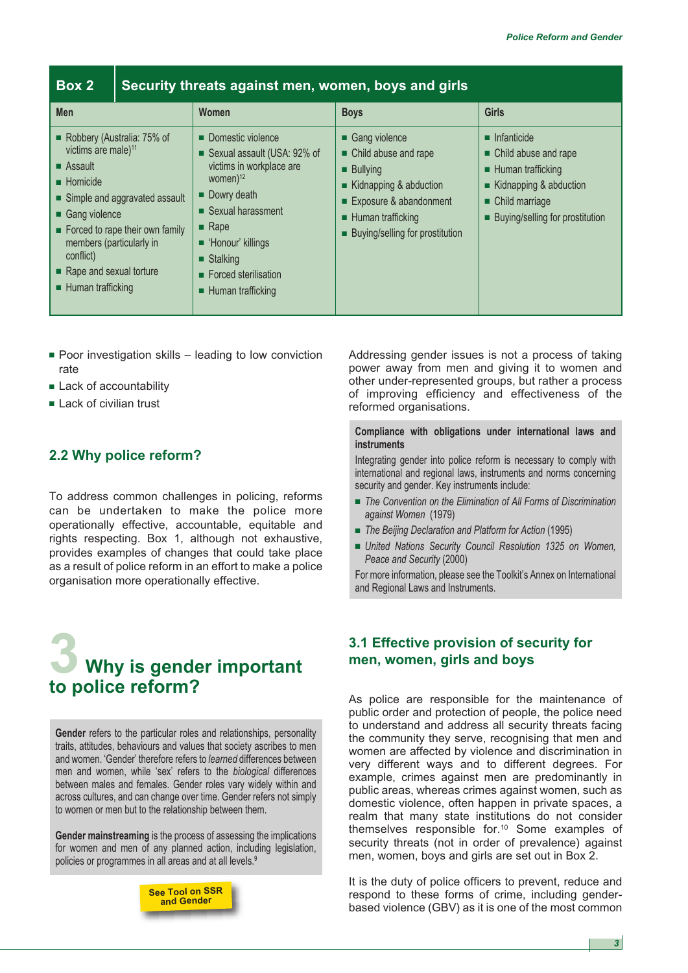| Box 2                                                                                                                                                                                                                                                                                                     |  | Security threats against men, women, boys and girls                                                                                                                                                               |                                                                                                                                                                                             |                                                                                                                                                                                               |  |  |
|-----------------------------------------------------------------------------------------------------------------------------------------------------------------------------------------------------------------------------------------------------------------------------------------------------------|--|-------------------------------------------------------------------------------------------------------------------------------------------------------------------------------------------------------------------|---------------------------------------------------------------------------------------------------------------------------------------------------------------------------------------------|-----------------------------------------------------------------------------------------------------------------------------------------------------------------------------------------------|--|--|
| Men<br>Robbery (Australia: 75% of<br>victims are male) <sup>11</sup><br>$\blacksquare$ Assault<br>$\blacksquare$ Homicide<br>Simple and aggravated assault<br>Gang violence<br>Forced to rape their own family<br>members (particularly in<br>conflict)<br>Rape and sexual torture<br>■ Human trafficking |  | <b>Women</b><br>Domestic violence<br>Sexual assault (USA: 92% of<br>victims in workplace are<br>women $)^{12}$<br>$\blacksquare$ Dowry death<br>■ Sexual harassment<br>$\blacksquare$ Rape<br>• 'Honour' killings | <b>Boys</b><br>Gang violence<br>• Child abuse and rape<br><b>Bullying</b><br>■ Kidnapping & abduction<br>Exposure & abandonment<br>■ Human trafficking<br>■ Buying/selling for prostitution | <b>Girls</b><br>$\blacksquare$ Infanticide<br>• Child abuse and rape<br>■ Human trafficking<br>$\blacksquare$ Kidnapping & abduction<br>• Child marriage<br>■ Buying/selling for prostitution |  |  |
|                                                                                                                                                                                                                                                                                                           |  | $\blacksquare$ Stalking<br>■ Forced sterilisation<br>$\blacksquare$ Human trafficking                                                                                                                             |                                                                                                                                                                                             |                                                                                                                                                                                               |  |  |

- Poor investigation skills leading to low conviction rate
- **■** Lack of accountability
- Lack of civilian trust

# **2.2 Why police reform?**

To address common challenges in policing, reforms can be undertaken to make the police more operationally effective, accountable, equitable and rights respecting. Box 1, although not exhaustive, provides examples of changes that could take place as a result of police reform in an effort to make a police organisation more operationally effective.

# **3 Why is gender important to police reform?**

**Gender** refers to the particular roles and relationships, personality traits, attitudes, behaviours and values that society ascribes to men and women. 'Gender' therefore refers to *learned* differences between men and women, while 'sex' refers to the *biological* differences between males and females. Gender roles vary widely within and across cultures, and can change over time. Gender refers not simply to women or men but to the relationship between them.

**Gender mainstreaming** is the process of assessing the implications for women and men of any planned action, including legislation, policies or programmes in all areas and at all levels.<sup>9</sup>



Addressing gender issues is not a process of taking power away from men and giving it to women and other under-represented groups, but rather a process of improving efficiency and effectiveness of the reformed organisations.

**Compliance with obligations under international laws and instruments**

Integrating gender into police reform is necessary to comply with international and regional laws, instruments and norms concerning security and gender. Key instruments include:

- **■** *The Convention on the Elimination of All Forms of Discrimination against Women* (1979)
- *The Beijing Declaration and Platform for Action* (1995)
- **■** *United Nations Security Council Resolution 1325 on Women, Peace and Security* (2000)

For more information, please see the Toolkit's Annex on International and Regional Laws and Instruments.

# **3.1 Effective provision of security for men, women, girls and boys**

As police are responsible for the maintenance of public order and protection of people, the police need to understand and address all security threats facing the community they serve, recognising that men and women are affected by violence and discrimination in very different ways and to different degrees. For example, crimes against men are predominantly in public areas, whereas crimes against women, such as domestic violence, often happen in private spaces, a realm that many state institutions do not consider themselves responsible for.10 Some examples of security threats (not in order of prevalence) against men, women, boys and girls are set out in Box 2.

It is the duty of police officers to prevent, reduce and respond to these forms of crime, including genderbased violence (GBV) as it is one of the most common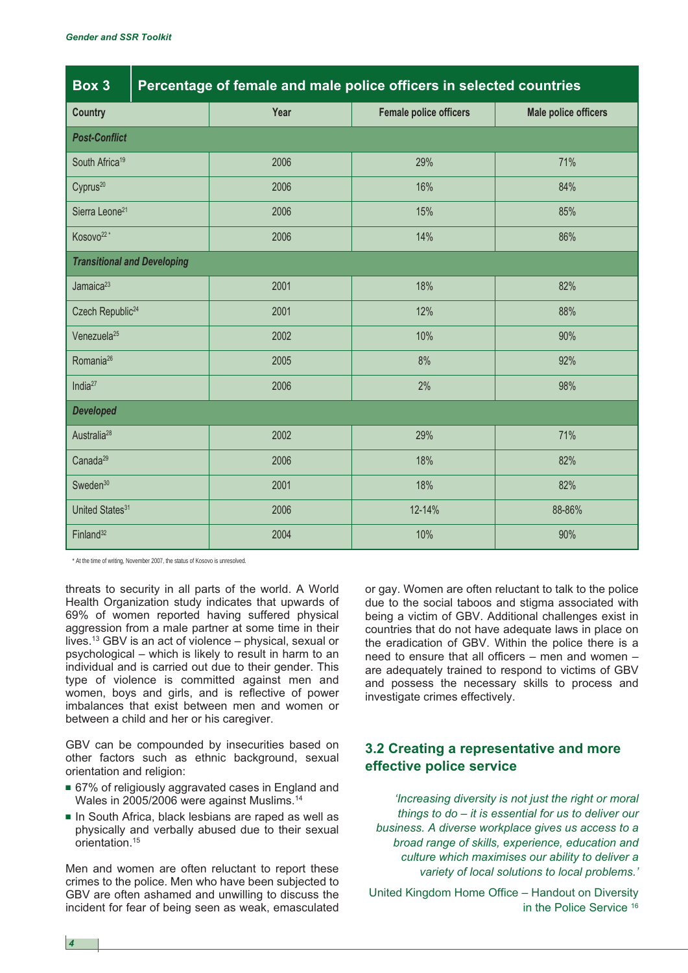| Box 3                              | Percentage of female and male police officers in selected countries |      |                               |                             |
|------------------------------------|---------------------------------------------------------------------|------|-------------------------------|-----------------------------|
| <b>Country</b>                     |                                                                     | Year | <b>Female police officers</b> | <b>Male police officers</b> |
| <b>Post-Conflict</b>               |                                                                     |      |                               |                             |
| South Africa <sup>19</sup>         |                                                                     | 2006 | 29%                           | 71%                         |
| Cyprus <sup>20</sup>               |                                                                     | 2006 | 16%                           | 84%                         |
| Sierra Leone <sup>21</sup>         |                                                                     | 2006 | 15%                           | 85%                         |
| Kosovo <sup>22*</sup>              |                                                                     | 2006 | 14%                           | 86%                         |
| <b>Transitional and Developing</b> |                                                                     |      |                               |                             |
| Jamaica <sup>23</sup>              |                                                                     | 2001 | 18%                           | 82%                         |
| Czech Republic <sup>24</sup>       |                                                                     | 2001 | 12%                           | 88%                         |
| Venezuela <sup>25</sup>            |                                                                     | 2002 | 10%                           | 90%                         |
| Romania <sup>26</sup>              |                                                                     | 2005 | 8%                            | 92%                         |
| India $27$                         |                                                                     | 2006 | 2%                            | 98%                         |
| <b>Developed</b>                   |                                                                     |      |                               |                             |
| Australia <sup>28</sup>            |                                                                     | 2002 | 29%                           | 71%                         |
| Canada <sup>29</sup>               |                                                                     | 2006 | 18%                           | 82%                         |
| Sweden <sup>30</sup>               |                                                                     | 2001 | 18%                           | 82%                         |
| United States <sup>31</sup>        |                                                                     | 2006 | 12-14%                        | 88-86%                      |
| Finland <sup>32</sup>              |                                                                     | 2004 | 10%                           | 90%                         |

\* At the time of writing, November 2007, the status of Kosovo is unresolved.

threats to security in all parts of the world. A World Health Organization study indicates that upwards of 69% of women reported having suffered physical aggression from a male partner at some time in their lives.13 GBV is an act of violence – physical, sexual or psychological – which is likely to result in harm to an individual and is carried out due to their gender. This type of violence is committed against men and women, boys and girls, and is reflective of power imbalances that exist between men and women or between a child and her or his caregiver.

GBV can be compounded by insecurities based on other factors such as ethnic background, sexual orientation and religion:

- 67% of religiously aggravated cases in England and Wales in 2005/2006 were against Muslims.14
- **■** In South Africa, black lesbians are raped as well as physically and verbally abused due to their sexual orientation.15

Men and women are often reluctant to report these crimes to the police. Men who have been subjected to GBV are often ashamed and unwilling to discuss the incident for fear of being seen as weak, emasculated or gay. Women are often reluctant to talk to the police due to the social taboos and stigma associated with being a victim of GBV. Additional challenges exist in countries that do not have adequate laws in place on the eradication of GBV. Within the police there is a need to ensure that all officers – men and women – are adequately trained to respond to victims of GBV and possess the necessary skills to process and investigate crimes effectively.

# **3.2 Creating a representative and more effective police service**

*'Increasing diversity is not just the right or moral things to do – it is essential for us to deliver our business. A diverse workplace gives us access to a broad range of skills, experience, education and culture which maximises our ability to deliver a variety of local solutions to local problems.'*

United Kingdom Home Office – Handout on Diversity in the Police Service <sup>16</sup>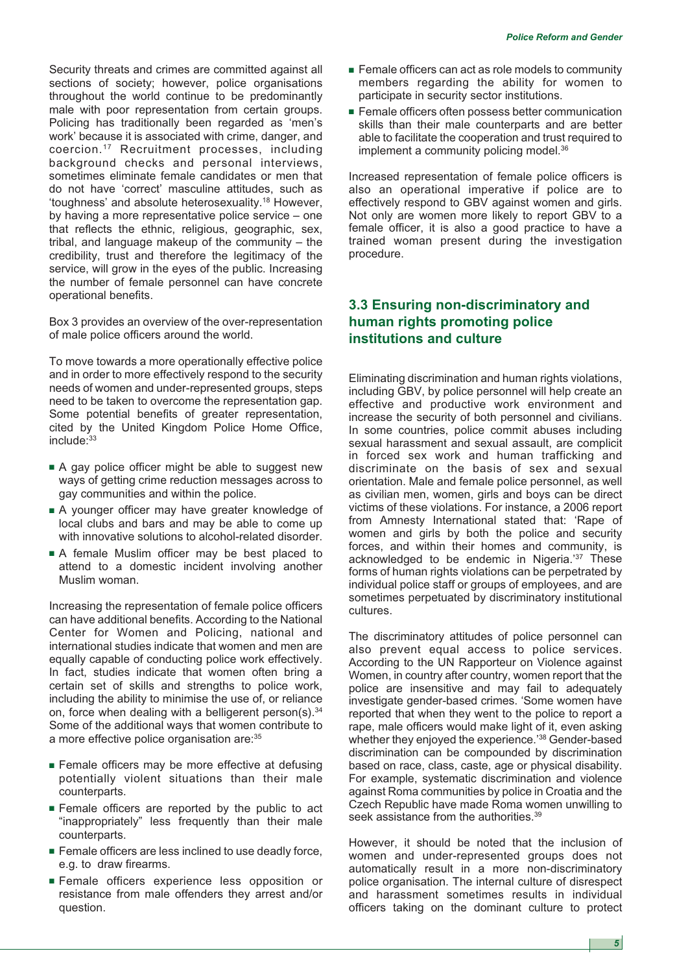Security threats and crimes are committed against all sections of society; however, police organisations throughout the world continue to be predominantly male with poor representation from certain groups. Policing has traditionally been regarded as 'men's work' because it is associated with crime, danger, and coercion.17 Recruitment processes, including background checks and personal interviews, sometimes eliminate female candidates or men that do not have 'correct' masculine attitudes, such as 'toughness' and absolute heterosexuality.18 However, by having a more representative police service – one that reflects the ethnic, religious, geographic, sex, tribal, and language makeup of the community – the credibility, trust and therefore the legitimacy of the service, will grow in the eyes of the public. Increasing the number of female personnel can have concrete operational benefits.

Box 3 provides an overview of the over-representation of male police officers around the world.

To move towards a more operationally effective police and in order to more effectively respond to the security needs of women and under-represented groups, steps need to be taken to overcome the representation gap. Some potential benefits of greater representation, cited by the United Kingdom Police Home Office, include:<sup>33</sup>

- A gay police officer might be able to suggest new ways of getting crime reduction messages across to gay communities and within the police.
- **■** A younger officer may have greater knowledge of local clubs and bars and may be able to come up with innovative solutions to alcohol-related disorder.
- **■** A female Muslim officer may be best placed to attend to a domestic incident involving another Muslim woman.

Increasing the representation of female police officers can have additional benefits. According to the National Center for Women and Policing, national and international studies indicate that women and men are equally capable of conducting police work effectively. In fact, studies indicate that women often bring a certain set of skills and strengths to police work, including the ability to minimise the use of, or reliance on, force when dealing with a belligerent person(s).<sup>34</sup> Some of the additional ways that women contribute to a more effective police organisation are:35

- **■** Female officers may be more effective at defusing potentially violent situations than their male counterparts.
- **■** Female officers are reported by the public to act "inappropriately" less frequently than their male counterparts.
- Female officers are less inclined to use deadly force, e.g. to draw firearms.
- **■** Female officers experience less opposition or resistance from male offenders they arrest and/or question.
- **■** Female officers can act as role models to community members regarding the ability for women to participate in security sector institutions.
- Female officers often possess better communication skills than their male counterparts and are better able to facilitate the cooperation and trust required to implement a community policing model.<sup>36</sup>

Increased representation of female police officers is also an operational imperative if police are to effectively respond to GBV against women and girls. Not only are women more likely to report GBV to a female officer, it is also a good practice to have a trained woman present during the investigation procedure.

# **3.3 Ensuring non-discriminatory and human rights promoting police institutions and culture**

Eliminating discrimination and human rights violations, including GBV, by police personnel will help create an effective and productive work environment and increase the security of both personnel and civilians. In some countries, police commit abuses including sexual harassment and sexual assault, are complicit in forced sex work and human trafficking and discriminate on the basis of sex and sexual orientation. Male and female police personnel, as well as civilian men, women, girls and boys can be direct victims of these violations. For instance, a 2006 report from Amnesty International stated that: 'Rape of women and girls by both the police and security forces, and within their homes and community, is acknowledged to be endemic in Nigeria.'37 These forms of human rights violations can be perpetrated by individual police staff or groups of employees, and are sometimes perpetuated by discriminatory institutional cultures.

The discriminatory attitudes of police personnel can also prevent equal access to police services. According to the UN Rapporteur on Violence against Women, in country after country, women report that the police are insensitive and may fail to adequately investigate gender-based crimes. 'Some women have reported that when they went to the police to report a rape, male officers would make light of it, even asking whether they enjoyed the experience.'38 Gender-based discrimination can be compounded by discrimination based on race, class, caste, age or physical disability. For example, systematic discrimination and violence against Roma communities by police in Croatia and the Czech Republic have made Roma women unwilling to seek assistance from the authorities.<sup>39</sup>

However, it should be noted that the inclusion of women and under-represented groups does not automatically result in a more non-discriminatory police organisation. The internal culture of disrespect and harassment sometimes results in individual officers taking on the dominant culture to protect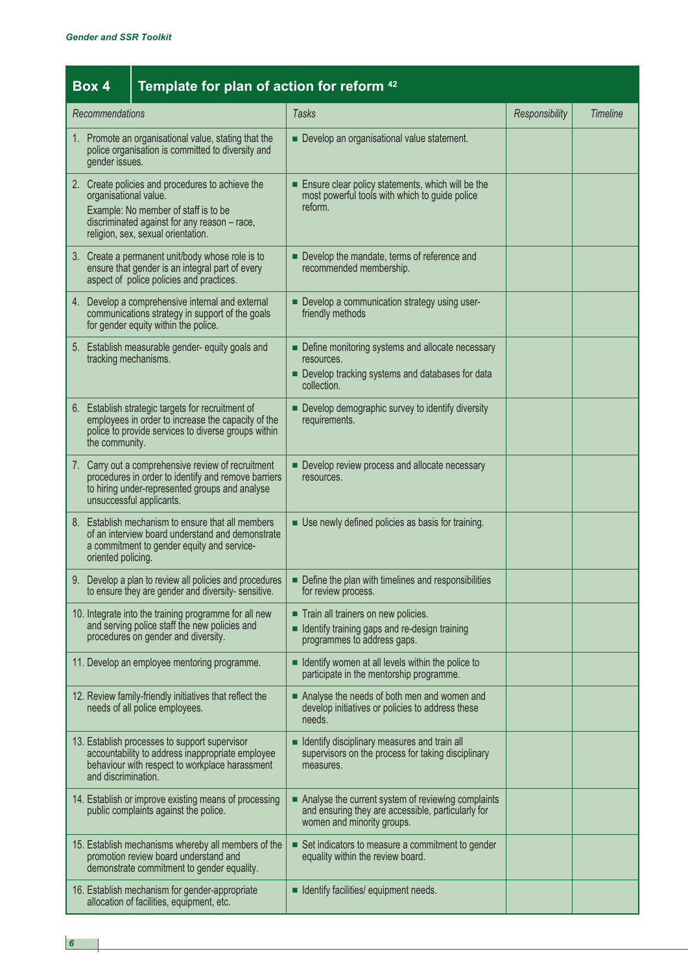|                                                                                                                                                                                                         | Template for plan of action for reform <sup>42</sup><br>Box 4                                                                                                                    |                                                                                                                                                                                         |                                                                                                                                        |                |                 |
|---------------------------------------------------------------------------------------------------------------------------------------------------------------------------------------------------------|----------------------------------------------------------------------------------------------------------------------------------------------------------------------------------|-----------------------------------------------------------------------------------------------------------------------------------------------------------------------------------------|----------------------------------------------------------------------------------------------------------------------------------------|----------------|-----------------|
| Recommendations                                                                                                                                                                                         |                                                                                                                                                                                  |                                                                                                                                                                                         | <b>Tasks</b>                                                                                                                           | Responsibility | <b>Timeline</b> |
| 1. Promote an organisational value, stating that the<br>police organisation is committed to diversity and<br>gender issues.                                                                             |                                                                                                                                                                                  |                                                                                                                                                                                         | Develop an organisational value statement.                                                                                             |                |                 |
| 2. Create policies and procedures to achieve the<br>organisational value.<br>Example: No member of staff is to be<br>discriminated against for any reason - race,<br>religion, sex, sexual orientation. |                                                                                                                                                                                  |                                                                                                                                                                                         | Ensure clear policy statements, which will be the<br>most powerful tools with which to guide police<br>reform.                         |                |                 |
|                                                                                                                                                                                                         |                                                                                                                                                                                  | 3. Create a permanent unit/body whose role is to<br>ensure that gender is an integral part of every<br>aspect of police policies and practices.                                         | Develop the mandate, terms of reference and<br>recommended membership.                                                                 |                |                 |
| 4. Develop a comprehensive internal and external<br>communications strategy in support of the goals<br>for gender equity within the police.                                                             |                                                                                                                                                                                  |                                                                                                                                                                                         | Develop a communication strategy using user-<br>friendly methods                                                                       |                |                 |
|                                                                                                                                                                                                         | 5. Establish measurable gender- equity goals and<br>tracking mechanisms.                                                                                                         |                                                                                                                                                                                         | • Define monitoring systems and allocate necessary<br>resources.<br>Develop tracking systems and databases for data<br>collection.     |                |                 |
|                                                                                                                                                                                                         | 6. Establish strategic targets for recruitment of<br>employees in order to increase the capacity of the<br>police to provide services to diverse groups within<br>the community. |                                                                                                                                                                                         | Develop demographic survey to identify diversity<br>requirements.                                                                      |                |                 |
|                                                                                                                                                                                                         |                                                                                                                                                                                  | 7. Carry out a comprehensive review of recruitment<br>procedures in order to identify and remove barriers<br>to hiring under-represented groups and analyse<br>unsuccessful applicants. | Develop review process and allocate necessary<br>resources.                                                                            |                |                 |
|                                                                                                                                                                                                         | 8. Establish mechanism to ensure that all members<br>of an interview board understand and demonstrate<br>a commitment to gender equity and service-<br>oriented policing.        |                                                                                                                                                                                         | Use newly defined policies as basis for training.                                                                                      |                |                 |
|                                                                                                                                                                                                         |                                                                                                                                                                                  | 9. Develop a plan to review all policies and procedures<br>to ensure they are gender and diversity- sensitive.                                                                          | Define the plan with timelines and responsibilities<br>for review process.                                                             |                |                 |
|                                                                                                                                                                                                         |                                                                                                                                                                                  | 10. Integrate into the training programme for all new<br>and serving police staff the new policies and<br>procedures on gender and diversity.                                           | Train all trainers on new policies.<br>I Identify training gaps and re-design training<br>programmes to address gaps.                  |                |                 |
|                                                                                                                                                                                                         |                                                                                                                                                                                  | 11. Develop an employee mentoring programme.                                                                                                                                            | I Identify women at all levels within the police to<br>participate in the mentorship programme.                                        |                |                 |
|                                                                                                                                                                                                         |                                                                                                                                                                                  | 12. Review family-friendly initiatives that reflect the<br>needs of all police employees.                                                                                               | Analyse the needs of both men and women and<br>develop initiatives or policies to address these<br>needs.                              |                |                 |
|                                                                                                                                                                                                         | and discrimination.                                                                                                                                                              | 13. Establish processes to support supervisor<br>accountability to address inappropriate employee<br>behaviour with respect to workplace harassment                                     | I Identify disciplinary measures and train all<br>supervisors on the process for taking disciplinary<br>measures.                      |                |                 |
|                                                                                                                                                                                                         |                                                                                                                                                                                  | 14. Establish or improve existing means of processing<br>public complaints against the police.                                                                                          | Analyse the current system of reviewing complaints<br>and ensuring they are accessible, particularly for<br>women and minority groups. |                |                 |
|                                                                                                                                                                                                         |                                                                                                                                                                                  | 15. Establish mechanisms whereby all members of the<br>promotion review board understand and<br>demonstrate commitment to gender equality.                                              | Set indicators to measure a commitment to gender<br>equality within the review board.                                                  |                |                 |
|                                                                                                                                                                                                         |                                                                                                                                                                                  | 16. Establish mechanism for gender-appropriate<br>allocation of facilities, equipment, etc.                                                                                             | <b>If I</b> Identify facilities/ equipment needs.                                                                                      |                |                 |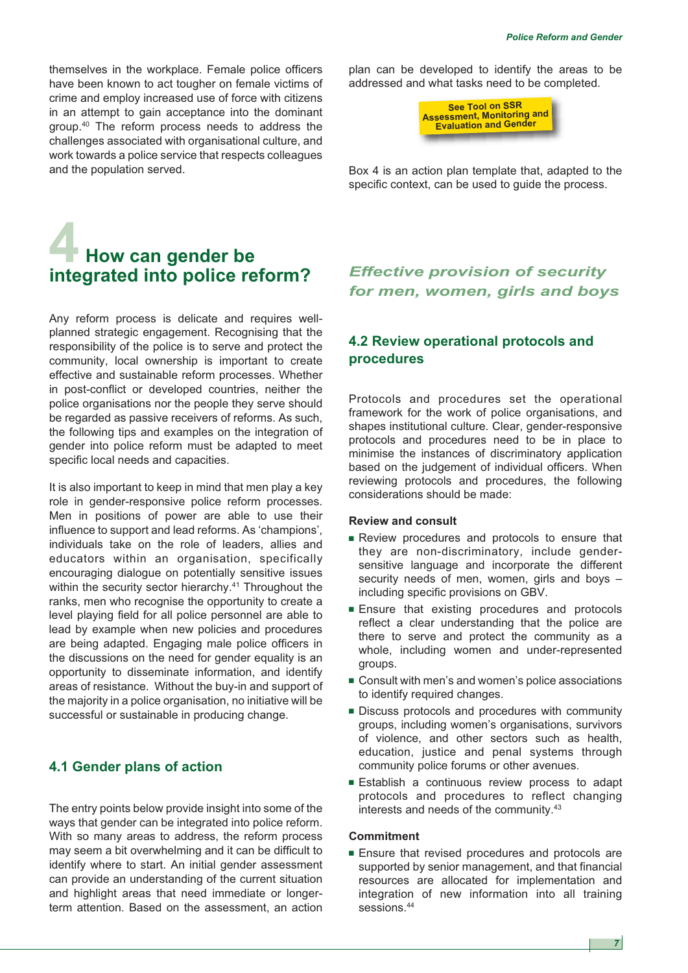themselves in the workplace. Female police officers have been known to act tougher on female victims of crime and employ increased use of force with citizens in an attempt to gain acceptance into the dominant group.40 The reform process needs to address the challenges associated with organisational culture, and work towards a police service that respects colleagues and the population served.

# **4 How can gender be integrated into police reform?**

Any reform process is delicate and requires wellplanned strategic engagement. Recognising that the responsibility of the police is to serve and protect the community, local ownership is important to create effective and sustainable reform processes. Whether in post-conflict or developed countries, neither the police organisations nor the people they serve should be regarded as passive receivers of reforms. As such, the following tips and examples on the integration of gender into police reform must be adapted to meet specific local needs and capacities.

It is also important to keep in mind that men play a key role in gender-responsive police reform processes. Men in positions of power are able to use their influence to support and lead reforms. As 'champions', individuals take on the role of leaders, allies and educators within an organisation, specifically encouraging dialogue on potentially sensitive issues within the security sector hierarchy.<sup>41</sup> Throughout the ranks, men who recognise the opportunity to create a level playing field for all police personnel are able to lead by example when new policies and procedures are being adapted. Engaging male police officers in the discussions on the need for gender equality is an opportunity to disseminate information, and identify areas of resistance. Without the buy-in and support of the majority in a police organisation, no initiative will be successful or sustainable in producing change.

# **4.1 Gender plans of action**

The entry points below provide insight into some of the ways that gender can be integrated into police reform. With so many areas to address, the reform process may seem a bit overwhelming and it can be difficult to identify where to start. An initial gender assessment can provide an understanding of the current situation and highlight areas that need immediate or longerterm attention. Based on the assessment, an action

plan can be developed to identify the areas to be addressed and what tasks need to be completed.



Box 4 is an action plan template that, adapted to the specific context, can be used to guide the process.

# *Effective provision of security for men, women, girls and boys*

# **4.2 Review operational protocols and procedures**

Protocols and procedures set the operational framework for the work of police organisations, and shapes institutional culture. Clear, gender-responsive protocols and procedures need to be in place to minimise the instances of discriminatory application based on the judgement of individual officers. When reviewing protocols and procedures, the following considerations should be made:

#### **Review and consult**

- **■** Review procedures and protocols to ensure that they are non-discriminatory, include gendersensitive language and incorporate the different security needs of men, women, girls and boys – including specific provisions on GBV.
- Ensure that existing procedures and protocols reflect a clear understanding that the police are there to serve and protect the community as a whole, including women and under-represented groups.
- Consult with men's and women's police associations to identify required changes.
- **■** Discuss protocols and procedures with community groups, including women's organisations, survivors of violence, and other sectors such as health, education, justice and penal systems through community police forums or other avenues.
- **■** Establish a continuous review process to adapt protocols and procedures to reflect changing interests and needs of the community.43

### **Commitment**

**■** Ensure that revised procedures and protocols are supported by senior management, and that financial resources are allocated for implementation and integration of new information into all training sessions.44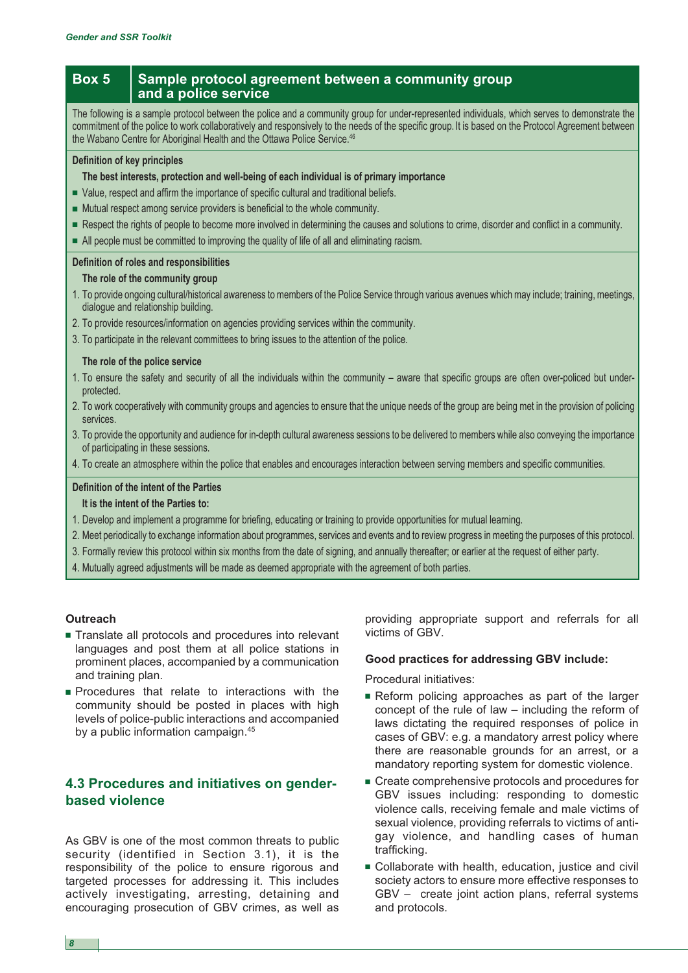# **Box 5** Sample protocol agreement between a community group **and a police service**

The following is a sample protocol between the police and a community group for under-represented individuals, which serves to demonstrate the commitment of the police to work collaboratively and responsively to the needs of the specific group. It is based on the Protocol Agreement between the Wabano Centre for Aboriginal Health and the Ottawa Police Service.<sup>46</sup>

#### **Definition of key principles**

#### **The best interests, protection and well-being of each individual is of primary importance**

- **■** Value, respect and affirm the importance of specific cultural and traditional beliefs.
- **■** Mutual respect among service providers is beneficial to the whole community.
- Respect the rights of people to become more involved in determining the causes and solutions to crime, disorder and conflict in a community.
- **■** All people must be committed to improving the quality of life of all and eliminating racism.

#### **Definition of roles and responsibilities**

#### **The role of the community group**

- 1. To provide ongoing cultural/historical awareness to members of the Police Service through various avenues which may include; training, meetings, dialogue and relationship building.
- 2. To provide resources/information on agencies providing services within the community.
- 3. To participate in the relevant committees to bring issues to the attention of the police.

### **The role of the police service**

- 1. To ensure the safety and security of all the individuals within the community aware that specific groups are often over-policed but underprotected.
- 2. To work cooperatively with community groups and agencies to ensure that the unique needs of the group are being met in the provision of policing services.
- 3. To provide the opportunity and audience for in-depth cultural awareness sessions to be delivered to members while also conveying the importance of participating in these sessions.
- 4. To create an atmosphere within the police that enables and encourages interaction between serving members and specific communities.

#### **Definition of the intent of the Parties**

**It is the intent of the Parties to:**

- 1. Develop and implement a programme for briefing, educating or training to provide opportunities for mutual learning.
- 2. Meet periodically to exchange information about programmes, services and events and to review progress in meeting the purposes of this protocol.
- 3. Formally review this protocol within six months from the date of signing, and annually thereafter; or earlier at the request of either party.
- 4. Mutually agreed adjustments will be made as deemed appropriate with the agreement of both parties.

#### **Outreach**

- **■** Translate all protocols and procedures into relevant languages and post them at all police stations in prominent places, accompanied by a communication and training plan.
- **■** Procedures that relate to interactions with the community should be posted in places with high levels of police-public interactions and accompanied by a public information campaign.45

# **4.3 Procedures and initiatives on genderbased violence**

As GBV is one of the most common threats to public security (identified in Section 3.1), it is the responsibility of the police to ensure rigorous and targeted processes for addressing it. This includes actively investigating, arresting, detaining and encouraging prosecution of GBV crimes, as well as

providing appropriate support and referrals for all victims of GBV.

# **Good practices for addressing GBV include:**

Procedural initiatives:

- **■** Reform policing approaches as part of the larger concept of the rule of law – including the reform of laws dictating the required responses of police in cases of GBV: e.g. a mandatory arrest policy where there are reasonable grounds for an arrest, or a mandatory reporting system for domestic violence.
- Create comprehensive protocols and procedures for GBV issues including: responding to domestic violence calls, receiving female and male victims of sexual violence, providing referrals to victims of antigay violence, and handling cases of human trafficking.
- **■** Collaborate with health, education, justice and civil society actors to ensure more effective responses to GBV – create joint action plans, referral systems and protocols.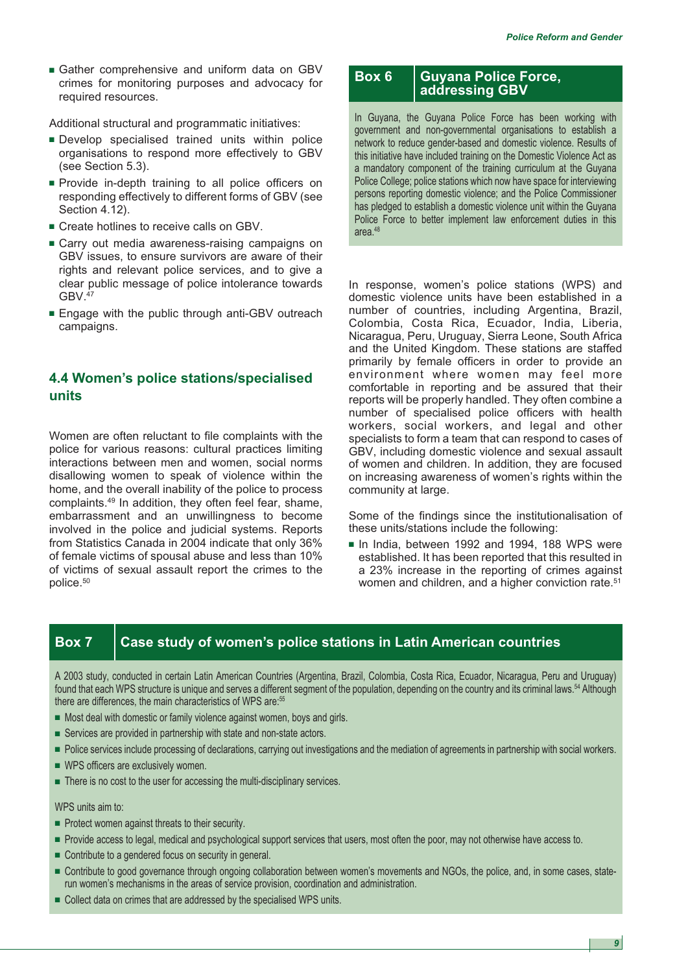**■** Gather comprehensive and uniform data on GBV crimes for monitoring purposes and advocacy for required resources.

Additional structural and programmatic initiatives:

- **■** Develop specialised trained units within police organisations to respond more effectively to GBV (see Section 5.3).
- **■** Provide in-depth training to all police officers on responding effectively to different forms of GBV (see Section 4.12).
- **■** Create hotlines to receive calls on GBV.
- Carry out media awareness-raising campaigns on GBV issues, to ensure survivors are aware of their rights and relevant police services, and to give a clear public message of police intolerance towards GBV.47
- **■** Engage with the public through anti-GBV outreach campaigns.

# **4.4 Women's police stations/specialised units**

Women are often reluctant to file complaints with the police for various reasons: cultural practices limiting interactions between men and women, social norms disallowing women to speak of violence within the home, and the overall inability of the police to process complaints.49 In addition, they often feel fear, shame, embarrassment and an unwillingness to become involved in the police and judicial systems. Reports from Statistics Canada in 2004 indicate that only 36% of female victims of spousal abuse and less than 10% of victims of sexual assault report the crimes to the police.50

# **Box 6 Guyana Police Force, addressing GBV**

In Guyana, the Guyana Police Force has been working with government and non-governmental organisations to establish a network to reduce gender-based and domestic violence. Results of this initiative have included training on the Domestic Violence Act as a mandatory component of the training curriculum at the Guyana Police College; police stations which now have space for interviewing persons reporting domestic violence; and the Police Commissioner has pledged to establish a domestic violence unit within the Guyana Police Force to better implement law enforcement duties in this area.<sup>48</sup>

In response, women's police stations (WPS) and domestic violence units have been established in a number of countries, including Argentina, Brazil, Colombia, Costa Rica, Ecuador, India, Liberia, Nicaragua, Peru, Uruguay, Sierra Leone, South Africa and the United Kingdom. These stations are staffed primarily by female officers in order to provide an environment where women may feel more comfortable in reporting and be assured that their reports will be properly handled. They often combine a number of specialised police officers with health workers, social workers, and legal and other specialists to form a team that can respond to cases of GBV, including domestic violence and sexual assault of women and children. In addition, they are focused on increasing awareness of women's rights within the community at large.

Some of the findings since the institutionalisation of these units/stations include the following:

**■** In India, between 1992 and 1994, 188 WPS were established. It has been reported that this resulted in a 23% increase in the reporting of crimes against women and children, and a higher conviction rate.<sup>51</sup>

# **Box 7 Case study of women's police stations in Latin American countries**

A 2003 study, conducted in certain Latin American Countries (Argentina, Brazil, Colombia, Costa Rica, Ecuador, Nicaragua, Peru and Uruguay) found that each WPS structure is unique and serves a different segment of the population, depending on the country and its criminal laws.<sup>54</sup> Although there are differences, the main characteristics of WPS are:<sup>55</sup>

- Most deal with domestic or family violence against women, boys and girls.
- **■** Services are provided in partnership with state and non-state actors.
- Police services include processing of declarations, carrying out investigations and the mediation of agreements in partnership with social workers.
- **■** WPS officers are exclusively women.
- There is no cost to the user for accessing the multi-disciplinary services.

WPS units aim to:

- **■** Protect women against threats to their security.
- Provide access to legal, medical and psychological support services that users, most often the poor, may not otherwise have access to.
- **■** Contribute to a gendered focus on security in general.
- **■** Contribute to good governance through ongoing collaboration between women's movements and NGOs, the police, and, in some cases, staterun women's mechanisms in the areas of service provision, coordination and administration.
- Collect data on crimes that are addressed by the specialised WPS units.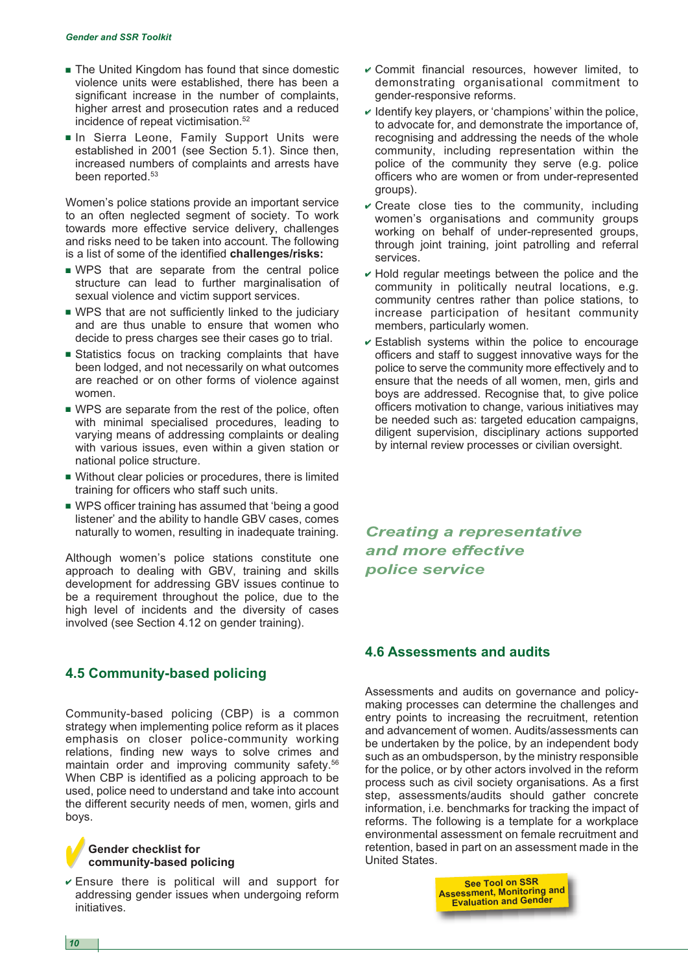- **■** The United Kingdom has found that since domestic violence units were established, there has been a significant increase in the number of complaints, higher arrest and prosecution rates and a reduced incidence of repeat victimisation.<sup>52</sup>
- **■** In Sierra Leone, Family Support Units were established in 2001 (see Section 5.1). Since then, increased numbers of complaints and arrests have been reported.<sup>53</sup>

Women's police stations provide an important service to an often neglected segment of society. To work towards more effective service delivery, challenges and risks need to be taken into account. The following is a list of some of the identified **challenges/risks:**

- **■** WPS that are separate from the central police structure can lead to further marginalisation of sexual violence and victim support services.
- **■** WPS that are not sufficiently linked to the judiciary and are thus unable to ensure that women who decide to press charges see their cases go to trial.
- **■** Statistics focus on tracking complaints that have been lodged, and not necessarily on what outcomes are reached or on other forms of violence against women.
- WPS are separate from the rest of the police, often with minimal specialised procedures, leading to varying means of addressing complaints or dealing with various issues, even within a given station or national police structure.
- **■** Without clear policies or procedures, there is limited training for officers who staff such units.
- WPS officer training has assumed that 'being a good listener' and the ability to handle GBV cases, comes naturally to women, resulting in inadequate training.

Although women's police stations constitute one approach to dealing with GBV, training and skills development for addressing GBV issues continue to be a requirement throughout the police, due to the high level of incidents and the diversity of cases involved (see Section 4.12 on gender training).

# **4.5 Community-based policing**

Community-based policing (CBP) is a common strategy when implementing police reform as it places emphasis on closer police-community working relations, finding new ways to solve crimes and maintain order and improving community safety.<sup>56</sup> When CBP is identified as a policing approach to be used, police need to understand and take into account the different security needs of men, women, girls and boys.

# **✔✔Gender checklist for community-based policing**

**✔** Ensure there is political will and support for addressing gender issues when undergoing reform initiatives.

- **✔** Commit financial resources, however limited, to demonstrating organisational commitment to gender-responsive reforms.
- **✔** Identify key players, or 'champions' within the police, to advocate for, and demonstrate the importance of, recognising and addressing the needs of the whole community, including representation within the police of the community they serve (e.g. police officers who are women or from under-represented groups).
- **✔** Create close ties to the community, including women's organisations and community groups working on behalf of under-represented groups, through joint training, joint patrolling and referral services.
- **✔** Hold regular meetings between the police and the community in politically neutral locations, e.g. community centres rather than police stations, to increase participation of hesitant community members, particularly women.
- **✔** Establish systems within the police to encourage officers and staff to suggest innovative ways for the police to serve the community more effectively and to ensure that the needs of all women, men, girls and boys are addressed. Recognise that, to give police officers motivation to change, various initiatives may be needed such as: targeted education campaigns, diligent supervision, disciplinary actions supported by internal review processes or civilian oversight.

*Creating a representative and more effective police service*

# **4.6 Assessments and audits**

Assessments and audits on governance and policymaking processes can determine the challenges and entry points to increasing the recruitment, retention and advancement of women. Audits/assessments can be undertaken by the police, by an independent body such as an ombudsperson, by the ministry responsible for the police, or by other actors involved in the reform process such as civil society organisations. As a first step, assessments/audits should gather concrete information, i.e. benchmarks for tracking the impact of reforms. The following is a template for a workplace environmental assessment on female recruitment and retention, based in part on an assessment made in the United States.

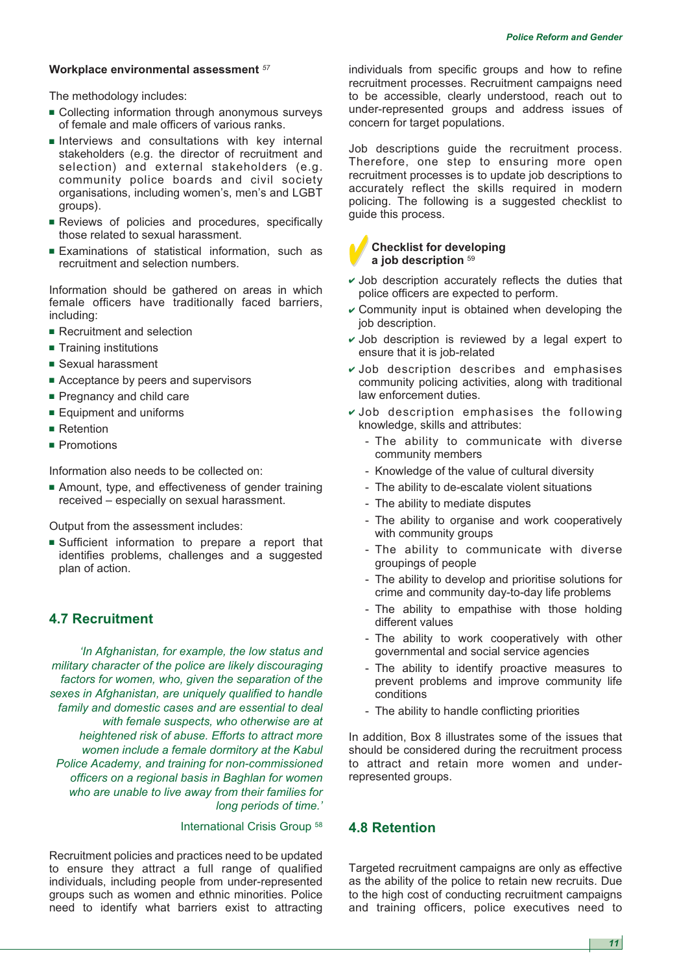## **Workplace environmental assessment** *<sup>57</sup>*

The methodology includes:

- Collecting information through anonymous surveys of female and male officers of various ranks.
- **■** Interviews and consultations with key internal stakeholders (e.g. the director of recruitment and selection) and external stakeholders (e.g. community police boards and civil society organisations, including women's, men's and LGBT groups).
- **■** Reviews of policies and procedures, specifically those related to sexual harassment.
- **■** Examinations of statistical information, such as recruitment and selection numbers.

Information should be gathered on areas in which female officers have traditionally faced barriers, including:

- Recruitment and selection
- **■** Training institutions
- **■** Sexual harassment
- **■** Acceptance by peers and supervisors
- Pregnancy and child care
- **■** Equipment and uniforms
- Retention
- Promotions

Information also needs to be collected on:

**■** Amount, type, and effectiveness of gender training received – especially on sexual harassment.

Output from the assessment includes:

**■** Sufficient information to prepare a report that identifies problems, challenges and a suggested plan of action.

# **4.7 Recruitment**

*'In Afghanistan, for example, the low status and military character of the police are likely discouraging factors for women, who, given the separation of the sexes in Afghanistan, are uniquely qualified to handle family and domestic cases and are essential to deal with female suspects, who otherwise are at heightened risk of abuse. Efforts to attract more women include a female dormitory at the Kabul Police Academy, and training for non-commissioned officers on a regional basis in Baghlan for women who are unable to live away from their families for long periods of time.'*

International Crisis Group 58

Recruitment policies and practices need to be updated to ensure they attract a full range of qualified individuals, including people from under-represented groups such as women and ethnic minorities. Police need to identify what barriers exist to attracting

individuals from specific groups and how to refine recruitment processes. Recruitment campaigns need to be accessible, clearly understood, reach out to under-represented groups and address issues of concern for target populations.

Job descriptions guide the recruitment process. Therefore, one step to ensuring more open recruitment processes is to update job descriptions to accurately reflect the skills required in modern policing. The following is a suggested checklist to guide this process.



#### **✔Checklist for developing a job description** <sup>59</sup>

- **✔** Job description accurately reflects the duties that police officers are expected to perform.
- **✔** Community input is obtained when developing the job description.
- **✔** Job description is reviewed by a legal expert to ensure that it is job-related
- **✔** Job description describes and emphasises community policing activities, along with traditional law enforcement duties.
- **✔** Job description emphasises the following knowledge, skills and attributes:
	- The ability to communicate with diverse community members
	- Knowledge of the value of cultural diversity
	- The ability to de-escalate violent situations
	- The ability to mediate disputes
	- The ability to organise and work cooperatively with community groups
	- The ability to communicate with diverse groupings of people
	- The ability to develop and prioritise solutions for crime and community day-to-day life problems
	- The ability to empathise with those holding different values
	- The ability to work cooperatively with other governmental and social service agencies
	- The ability to identify proactive measures to prevent problems and improve community life conditions
	- The ability to handle conflicting priorities

In addition, Box 8 illustrates some of the issues that should be considered during the recruitment process to attract and retain more women and underrepresented groups.

# **4.8 Retention**

Targeted recruitment campaigns are only as effective as the ability of the police to retain new recruits. Due to the high cost of conducting recruitment campaigns and training officers, police executives need to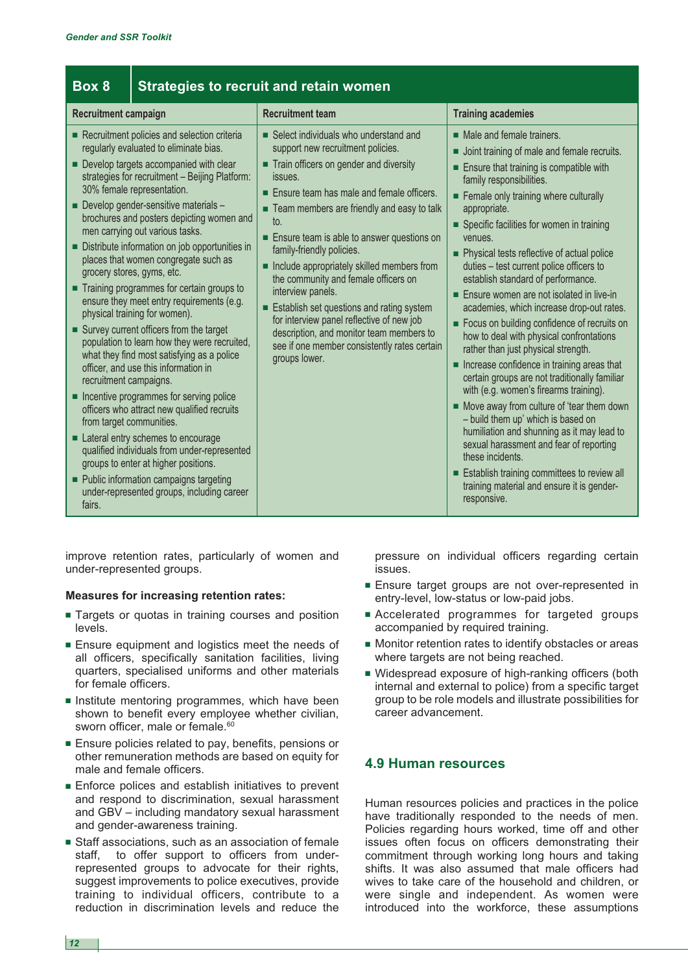| Box 8                                                        |                                                                                                                                                                                                                                                                                                                                                                                                                                                                                                                                                                                                                                                                                                                                                                                                                                                                                                                                                                                                                                                                                                 | <b>Strategies to recruit and retain women</b>                                                                                                                                                                                                                                                                                                                                                                                                                                                                                                                                                                                    |                                                                                                                                                                                                                                                                                                                                                                                                                                                                                                                                                                                                                                                                                                                                                                                                                                                                                                                                                                                                                                                                                                        |
|--------------------------------------------------------------|-------------------------------------------------------------------------------------------------------------------------------------------------------------------------------------------------------------------------------------------------------------------------------------------------------------------------------------------------------------------------------------------------------------------------------------------------------------------------------------------------------------------------------------------------------------------------------------------------------------------------------------------------------------------------------------------------------------------------------------------------------------------------------------------------------------------------------------------------------------------------------------------------------------------------------------------------------------------------------------------------------------------------------------------------------------------------------------------------|----------------------------------------------------------------------------------------------------------------------------------------------------------------------------------------------------------------------------------------------------------------------------------------------------------------------------------------------------------------------------------------------------------------------------------------------------------------------------------------------------------------------------------------------------------------------------------------------------------------------------------|--------------------------------------------------------------------------------------------------------------------------------------------------------------------------------------------------------------------------------------------------------------------------------------------------------------------------------------------------------------------------------------------------------------------------------------------------------------------------------------------------------------------------------------------------------------------------------------------------------------------------------------------------------------------------------------------------------------------------------------------------------------------------------------------------------------------------------------------------------------------------------------------------------------------------------------------------------------------------------------------------------------------------------------------------------------------------------------------------------|
| <b>Recruitment campaign</b>                                  |                                                                                                                                                                                                                                                                                                                                                                                                                                                                                                                                                                                                                                                                                                                                                                                                                                                                                                                                                                                                                                                                                                 | <b>Recruitment team</b>                                                                                                                                                                                                                                                                                                                                                                                                                                                                                                                                                                                                          | <b>Training academies</b>                                                                                                                                                                                                                                                                                                                                                                                                                                                                                                                                                                                                                                                                                                                                                                                                                                                                                                                                                                                                                                                                              |
| recruitment campaigns.<br>from target communities.<br>fairs. | Recruitment policies and selection criteria<br>regularly evaluated to eliminate bias.<br>Develop targets accompanied with clear<br>strategies for recruitment - Beijing Platform:<br>30% female representation.<br>Develop gender-sensitive materials -<br>brochures and posters depicting women and<br>men carrying out various tasks.<br>Distribute information on job opportunities in<br>places that women congregate such as<br>grocery stores, gyms, etc.<br>■ Training programmes for certain groups to<br>ensure they meet entry requirements (e.g.<br>physical training for women).<br>Survey current officers from the target<br>population to learn how they were recruited,<br>what they find most satisfying as a police<br>officer, and use this information in<br>Incentive programmes for serving police<br>officers who attract new qualified recruits<br>Lateral entry schemes to encourage<br>qualified individuals from under-represented<br>groups to enter at higher positions.<br>■ Public information campaigns targeting<br>under-represented groups, including career | Select individuals who understand and<br>support new recruitment policies.<br>Train officers on gender and diversity<br>issues.<br>Ensure team has male and female officers.<br>■ Team members are friendly and easy to talk<br>to.<br>Ensure team is able to answer questions on<br>family-friendly policies.<br>Include appropriately skilled members from<br>the community and female officers on<br>interview panels.<br>Establish set questions and rating system<br>for interview panel reflective of new job<br>description, and monitor team members to<br>see if one member consistently rates certain<br>groups lower. | $\blacksquare$ Male and female trainers.<br>Joint training of male and female recruits.<br>п<br>Ensure that training is compatible with<br>family responsibilities.<br>Female only training where culturally<br>appropriate.<br>Specific facilities for women in training<br>venues.<br>• Physical tests reflective of actual police<br>duties - test current police officers to<br>establish standard of performance.<br>Ensure women are not isolated in live-in<br>academies, which increase drop-out rates.<br>Focus on building confidence of recruits on<br>how to deal with physical confrontations<br>rather than just physical strength.<br>Increase confidence in training areas that<br>certain groups are not traditionally familiar<br>with (e.g. women's firearms training).<br>Move away from culture of 'tear them down<br>- build them up' which is based on<br>humiliation and shunning as it may lead to<br>sexual harassment and fear of reporting<br>these incidents.<br>Establish training committees to review all<br>training material and ensure it is gender-<br>responsive. |

improve retention rates, particularly of women and under-represented groups.

#### **Measures for increasing retention rates:**

- Targets or quotas in training courses and position levels.
- **■** Ensure equipment and logistics meet the needs of all officers, specifically sanitation facilities, living quarters, specialised uniforms and other materials for female officers.
- **■** Institute mentoring programmes, which have been shown to benefit every employee whether civilian, sworn officer, male or female.<sup>60</sup>
- **■** Ensure policies related to pay, benefits, pensions or other remuneration methods are based on equity for male and female officers.
- Enforce polices and establish initiatives to prevent and respond to discrimination, sexual harassment and GBV – including mandatory sexual harassment and gender-awareness training.
- **■** Staff associations, such as an association of female staff, to offer support to officers from underrepresented groups to advocate for their rights, suggest improvements to police executives, provide training to individual officers, contribute to a reduction in discrimination levels and reduce the

pressure on individual officers regarding certain issues.

- **■** Ensure target groups are not over-represented in entry-level, low-status or low-paid jobs.
- **■** Accelerated programmes for targeted groups accompanied by required training.
- Monitor retention rates to identify obstacles or areas where targets are not being reached.
- **■** Widespread exposure of high-ranking officers (both internal and external to police) from a specific target group to be role models and illustrate possibilities for career advancement.

# **4.9 Human resources**

Human resources policies and practices in the police have traditionally responded to the needs of men. Policies regarding hours worked, time off and other issues often focus on officers demonstrating their commitment through working long hours and taking shifts. It was also assumed that male officers had wives to take care of the household and children, or were single and independent. As women were introduced into the workforce, these assumptions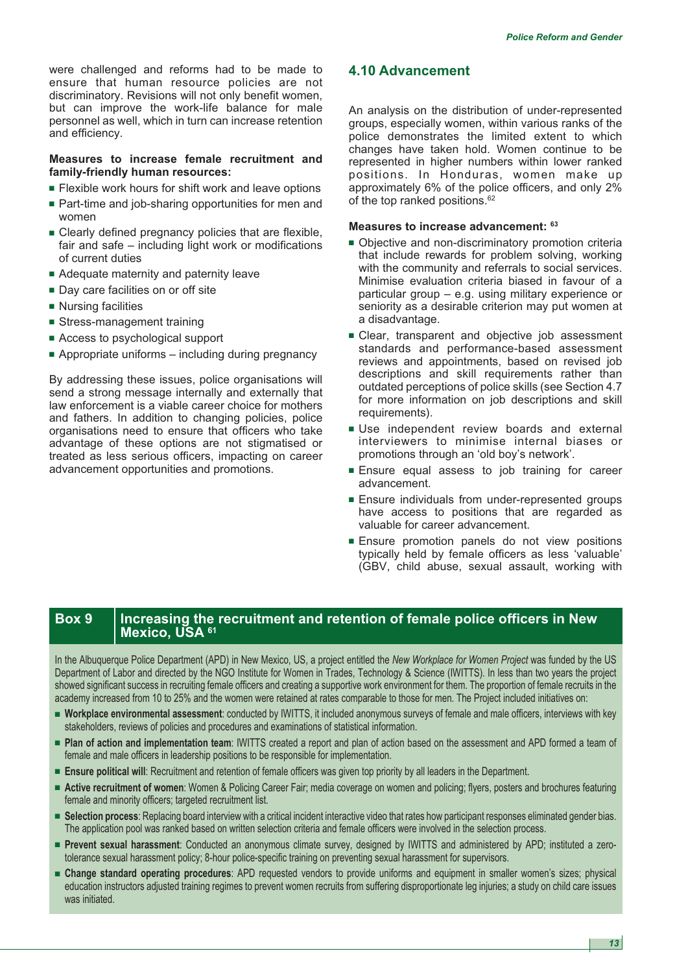were challenged and reforms had to be made to ensure that human resource policies are not discriminatory. Revisions will not only benefit women, but can improve the work-life balance for male personnel as well, which in turn can increase retention and efficiency.

## **Measures to increase female recruitment and family-friendly human resources:**

- **■** Flexible work hours for shift work and leave options
- Part-time and job-sharing opportunities for men and women
- **■** Clearly defined pregnancy policies that are flexible, fair and safe – including light work or modifications of current duties
- Adequate maternity and paternity leave
- **■** Day care facilities on or off site
- Nursing facilities
- **■** Stress-management training
- Access to psychological support
- **■** Appropriate uniforms including during pregnancy

By addressing these issues, police organisations will send a strong message internally and externally that law enforcement is a viable career choice for mothers and fathers. In addition to changing policies, police organisations need to ensure that officers who take advantage of these options are not stigmatised or treated as less serious officers, impacting on career advancement opportunities and promotions.

# **4.10 Advancement**

An analysis on the distribution of under-represented groups, especially women, within various ranks of the police demonstrates the limited extent to which changes have taken hold. Women continue to be represented in higher numbers within lower ranked positions. In Honduras, women make up approximately 6% of the police officers, and only 2% of the top ranked positions.<sup>62</sup>

#### **Measures to increase advancement: <sup>63</sup>**

- Objective and non-discriminatory promotion criteria that include rewards for problem solving, working with the community and referrals to social services. Minimise evaluation criteria biased in favour of a particular group – e.g. using military experience or seniority as a desirable criterion may put women at a disadvantage.
- **■** Clear, transparent and objective job assessment standards and performance-based assessment reviews and appointments, based on revised job descriptions and skill requirements rather than outdated perceptions of police skills (see Section 4.7 for more information on job descriptions and skill requirements).
- **■** Use independent review boards and external interviewers to minimise internal biases or promotions through an 'old boy's network'.
- **■** Ensure equal assess to job training for career advancement.
- **■** Ensure individuals from under-represented groups have access to positions that are regarded as valuable for career advancement.
- Ensure promotion panels do not view positions typically held by female officers as less 'valuable' (GBV, child abuse, sexual assault, working with

# **Box 9** Increasing the recruitment and retention of female police officers in New **Mexico, USA 61**

In the Albuquerque Police Department (APD) in New Mexico, US, a project entitled the *New Workplace for Women Project* was funded by the US Department of Labor and directed by the NGO Institute for Women in Trades, Technology & Science (IWITTS). In less than two years the project showed significant success in recruiting female officers and creating a supportive work environment for them. The proportion of female recruits in the academy increased from 10 to 25% and the women were retained at rates comparable to those for men. The Project included initiatives on:

- **■ Workplace environmental assessment**: conducted by IWITTS, it included anonymous surveys of female and male officers, interviews with key stakeholders, reviews of policies and procedures and examinations of statistical information.
- **■ Plan of action and implementation team**: IWITTS created a report and plan of action based on the assessment and APD formed a team of female and male officers in leadership positions to be responsible for implementation.
- **■ Ensure political will**: Recruitment and retention of female officers was given top priority by all leaders in the Department.
- **■ Active recruitment of women**: Women & Policing Career Fair; media coverage on women and policing; flyers, posters and brochures featuring female and minority officers; targeted recruitment list.
- **■ Selection process**: Replacing board interview with a critical incident interactive video that rates how participant responses eliminated gender bias. The application pool was ranked based on written selection criteria and female officers were involved in the selection process.
- **■ Prevent sexual harassment**: Conducted an anonymous climate survey, designed by IWITTS and administered by APD; instituted a zerotolerance sexual harassment policy; 8-hour police-specific training on preventing sexual harassment for supervisors.
- **■ Change standard operating procedures**: APD requested vendors to provide uniforms and equipment in smaller women's sizes; physical education instructors adjusted training regimes to prevent women recruits from suffering disproportionate leg injuries; a study on child care issues was initiated.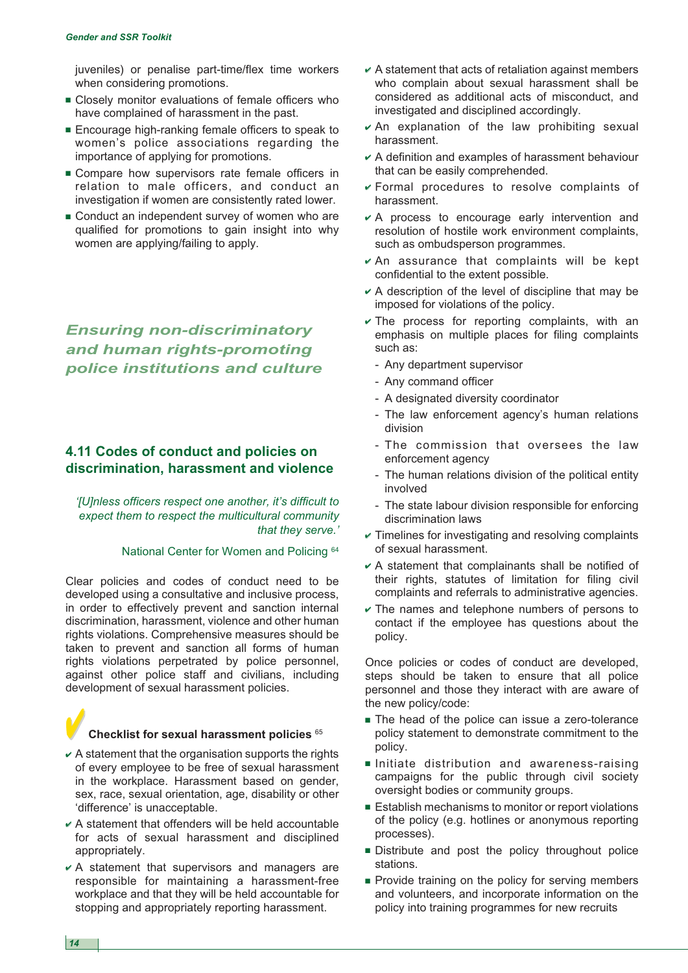juveniles) or penalise part-time/flex time workers when considering promotions.

- Closely monitor evaluations of female officers who have complained of harassment in the past.
- Encourage high-ranking female officers to speak to women's police associations regarding the importance of applying for promotions.
- **■** Compare how supervisors rate female officers in relation to male officers, and conduct an investigation if women are consistently rated lower.
- Conduct an independent survey of women who are qualified for promotions to gain insight into why women are applying/failing to apply.

*Ensuring non-discriminatory and human rights-promoting police institutions and culture*

# **4.11 Codes of conduct and policies on discrimination, harassment and violence**

*'[U]nless officers respect one another, it's difficult to expect them to respect the multicultural community that they serve.'*

#### National Center for Women and Policing 64

Clear policies and codes of conduct need to be developed using a consultative and inclusive process, in order to effectively prevent and sanction internal discrimination, harassment, violence and other human rights violations. Comprehensive measures should be taken to prevent and sanction all forms of human rights violations perpetrated by police personnel, against other police staff and civilians, including development of sexual harassment policies.

#### **✔✔Checklist for sexual harassment policies** <sup>65</sup>

- **✔** A statement that the organisation supports the rights of every employee to be free of sexual harassment in the workplace. Harassment based on gender, sex, race, sexual orientation, age, disability or other 'difference' is unacceptable.
- **✔** A statement that offenders will be held accountable for acts of sexual harassment and disciplined appropriately.
- **✔** A statement that supervisors and managers are responsible for maintaining a harassment-free workplace and that they will be held accountable for stopping and appropriately reporting harassment.
- **✔** A statement that acts of retaliation against members who complain about sexual harassment shall be considered as additional acts of misconduct, and investigated and disciplined accordingly.
- **✔** An explanation of the law prohibiting sexual harassment.
- **✔** A definition and examples of harassment behaviour that can be easily comprehended.
- **✔** Formal procedures to resolve complaints of harassment.
- **✔** A process to encourage early intervention and resolution of hostile work environment complaints, such as ombudsperson programmes.
- **✔** An assurance that complaints will be kept confidential to the extent possible.
- **✔** A description of the level of discipline that may be imposed for violations of the policy.
- **✔** The process for reporting complaints, with an emphasis on multiple places for filing complaints such as:
	- Any department supervisor
	- Any command officer
	- A designated diversity coordinator
	- The law enforcement agency's human relations division
	- The commission that oversees the law enforcement agency
	- The human relations division of the political entity involved
	- The state labour division responsible for enforcing discrimination laws
- **✔** Timelines for investigating and resolving complaints of sexual harassment.
- **✔** A statement that complainants shall be notified of their rights, statutes of limitation for filing civil complaints and referrals to administrative agencies.
- **✔** The names and telephone numbers of persons to contact if the employee has questions about the policy.

Once policies or codes of conduct are developed, steps should be taken to ensure that all police personnel and those they interact with are aware of the new policy/code:

- The head of the police can issue a zero-tolerance policy statement to demonstrate commitment to the policy.
- **■** Initiate distribution and awareness-raising campaigns for the public through civil society oversight bodies or community groups.
- Establish mechanisms to monitor or report violations of the policy (e.g. hotlines or anonymous reporting processes).
- **■** Distribute and post the policy throughout police stations.
- Provide training on the policy for serving members and volunteers, and incorporate information on the policy into training programmes for new recruits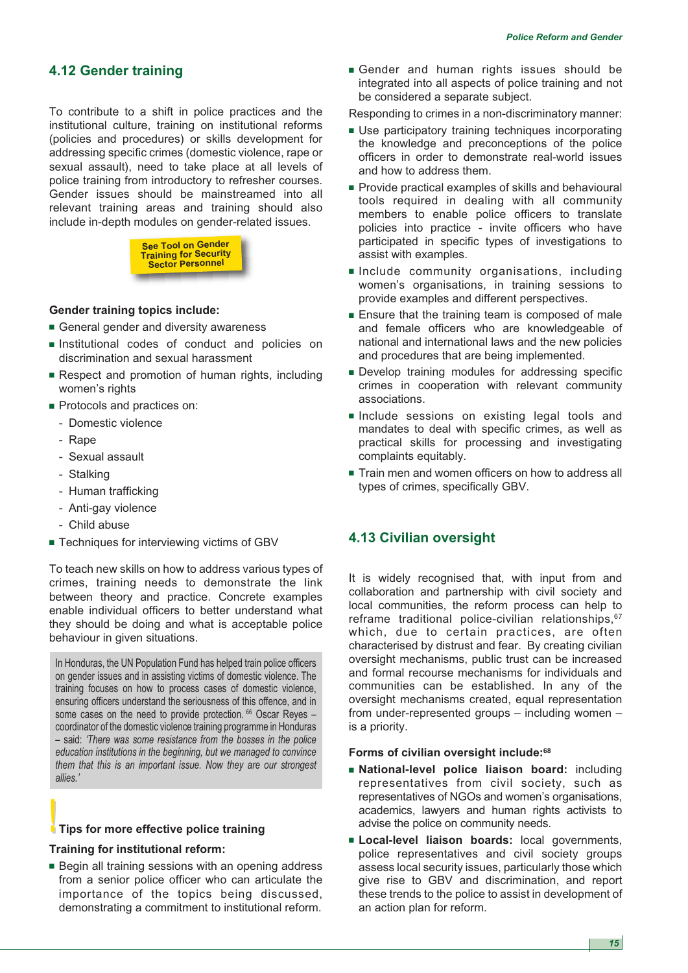# **4.12 Gender training**

To contribute to a shift in police practices and the institutional culture, training on institutional reforms (policies and procedures) or skills development for addressing specific crimes (domestic violence, rape or sexual assault), need to take place at all levels of police training from introductory to refresher courses. Gender issues should be mainstreamed into all relevant training areas and training should also include in-depth modules on gender-related issues.



## **Gender training topics include:**

- General gender and diversity awareness
- **■** Institutional codes of conduct and policies on discrimination and sexual harassment
- **■** Respect and promotion of human rights, including women's rights
- Protocols and practices on:
	- Domestic violence
	- Rape
	- Sexual assault
	- Stalking
	- Human trafficking
	- Anti-gay violence
	- Child abuse
- Techniques for interviewing victims of GBV

To teach new skills on how to address various types of crimes, training needs to demonstrate the link between theory and practice. Concrete examples enable individual officers to better understand what they should be doing and what is acceptable police behaviour in given situations.

In Honduras, the UN Population Fund has helped train police officers on gender issues and in assisting victims of domestic violence. The training focuses on how to process cases of domestic violence, ensuring officers understand the seriousness of this offence, and in some cases on the need to provide protection. <sup>66</sup> Oscar Reyes coordinator of the domestic violence training programme in Honduras – said: *'There was some resistance from the bosses in the police education institutions in the beginning, but we managed to convince them that this is an important issue. Now they are our strongest allies.'*

### **I** Tips for more effective police training

#### **Training for institutional reform:**

■ Begin all training sessions with an opening address from a senior police officer who can articulate the importance of the topics being discussed, demonstrating a commitment to institutional reform.

**■** Gender and human rights issues should be integrated into all aspects of police training and not be considered a separate subject.

Responding to crimes in a non-discriminatory manner:

- **■** Use participatory training techniques incorporating the knowledge and preconceptions of the police officers in order to demonstrate real-world issues and how to address them.
- Provide practical examples of skills and behavioural tools required in dealing with all community members to enable police officers to translate policies into practice - invite officers who have participated in specific types of investigations to assist with examples.
- **■** Include community organisations, including women's organisations, in training sessions to provide examples and different perspectives.
- Ensure that the training team is composed of male and female officers who are knowledgeable of national and international laws and the new policies and procedures that are being implemented.
- **■** Develop training modules for addressing specific crimes in cooperation with relevant community associations.
- **■** Include sessions on existing legal tools and mandates to deal with specific crimes, as well as practical skills for processing and investigating complaints equitably.
- Train men and women officers on how to address all types of crimes, specifically GBV.

# **4.13 Civilian oversight**

It is widely recognised that, with input from and collaboration and partnership with civil society and local communities, the reform process can help to reframe traditional police-civilian relationships, 67 which, due to certain practices, are often characterised by distrust and fear. By creating civilian oversight mechanisms, public trust can be increased and formal recourse mechanisms for individuals and communities can be established. In any of the oversight mechanisms created, equal representation from under-represented groups – including women – is a priority.

#### **Forms of civilian oversight include:68**

- **■ National-level police liaison board:** including representatives from civil society, such as representatives of NGOs and women's organisations, academics, lawyers and human rights activists to advise the police on community needs.
- **■ Local-level liaison boards:** local governments, police representatives and civil society groups assess local security issues, particularly those which give rise to GBV and discrimination, and report these trends to the police to assist in development of an action plan for reform.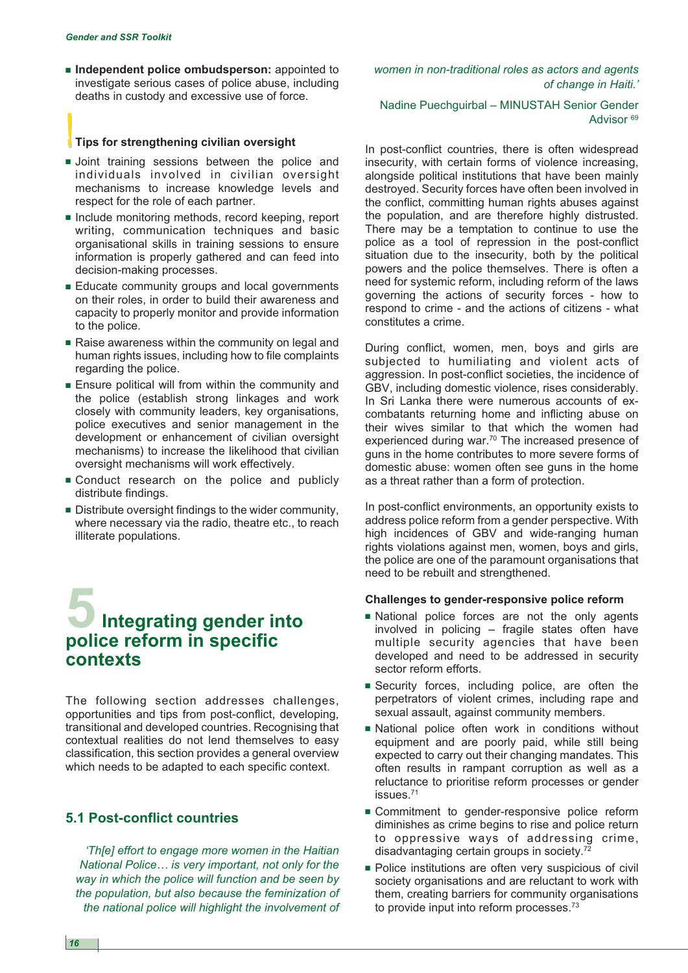**■ Independent police ombudsperson:** appointed to investigate serious cases of police abuse, including deaths in custody and excessive use of force.

#### **!!Tips for strengthening civilian oversight**

- **■** Joint training sessions between the police and individuals involved in civilian oversight mechanisms to increase knowledge levels and respect for the role of each partner.
- Include monitoring methods, record keeping, report writing, communication techniques and basic organisational skills in training sessions to ensure information is properly gathered and can feed into decision-making processes.
- **■** Educate community groups and local governments on their roles, in order to build their awareness and capacity to properly monitor and provide information to the police.
- Raise awareness within the community on legal and human rights issues, including how to file complaints regarding the police.
- **■** Ensure political will from within the community and the police (establish strong linkages and work closely with community leaders, key organisations, police executives and senior management in the development or enhancement of civilian oversight mechanisms) to increase the likelihood that civilian oversight mechanisms will work effectively.
- Conduct research on the police and publicly distribute findings.
- **■** Distribute oversight findings to the wider community, where necessary via the radio, theatre etc., to reach illiterate populations.

# **5Integrating gender into police reform in specific contexts**

The following section addresses challenges, opportunities and tips from post-conflict, developing, transitional and developed countries. Recognising that contextual realities do not lend themselves to easy classification, this section provides a general overview which needs to be adapted to each specific context.

# **5.1 Post-conflict countries**

*'Th[e] effort to engage more women in the Haitian National Police… is very important, not only for the way in which the police will function and be seen by the population, but also because the feminization of the national police will highlight the involvement of* *women in non-traditional roles as actors and agents of change in Haiti.'*

# Nadine Puechguirbal – MINUSTAH Senior Gender Advisor<sup>69</sup>

In post-conflict countries, there is often widespread insecurity, with certain forms of violence increasing, alongside political institutions that have been mainly destroyed. Security forces have often been involved in the conflict, committing human rights abuses against the population, and are therefore highly distrusted. There may be a temptation to continue to use the police as a tool of repression in the post-conflict situation due to the insecurity, both by the political powers and the police themselves. There is often a need for systemic reform, including reform of the laws governing the actions of security forces - how to respond to crime - and the actions of citizens - what constitutes a crime.

During conflict, women, men, boys and girls are subjected to humiliating and violent acts of aggression. In post-conflict societies, the incidence of GBV, including domestic violence, rises considerably. In Sri Lanka there were numerous accounts of excombatants returning home and inflicting abuse on their wives similar to that which the women had experienced during war.<sup>70</sup> The increased presence of guns in the home contributes to more severe forms of domestic abuse: women often see guns in the home as a threat rather than a form of protection.

In post-conflict environments, an opportunity exists to address police reform from a gender perspective. With high incidences of GBV and wide-ranging human rights violations against men, women, boys and girls, the police are one of the paramount organisations that need to be rebuilt and strengthened.

#### **Challenges to gender-responsive police reform**

- **■** National police forces are not the only agents involved in policing – fragile states often have multiple security agencies that have been developed and need to be addressed in security sector reform efforts.
- **■** Security forces, including police, are often the perpetrators of violent crimes, including rape and sexual assault, against community members.
- **■** National police often work in conditions without equipment and are poorly paid, while still being expected to carry out their changing mandates. This often results in rampant corruption as well as a reluctance to prioritise reform processes or gender issues.71
- Commitment to gender-responsive police reform diminishes as crime begins to rise and police return to oppressive ways of addressing crime, disadvantaging certain groups in society.72
- **■** Police institutions are often very suspicious of civil society organisations and are reluctant to work with them, creating barriers for community organisations to provide input into reform processes.<sup>73</sup>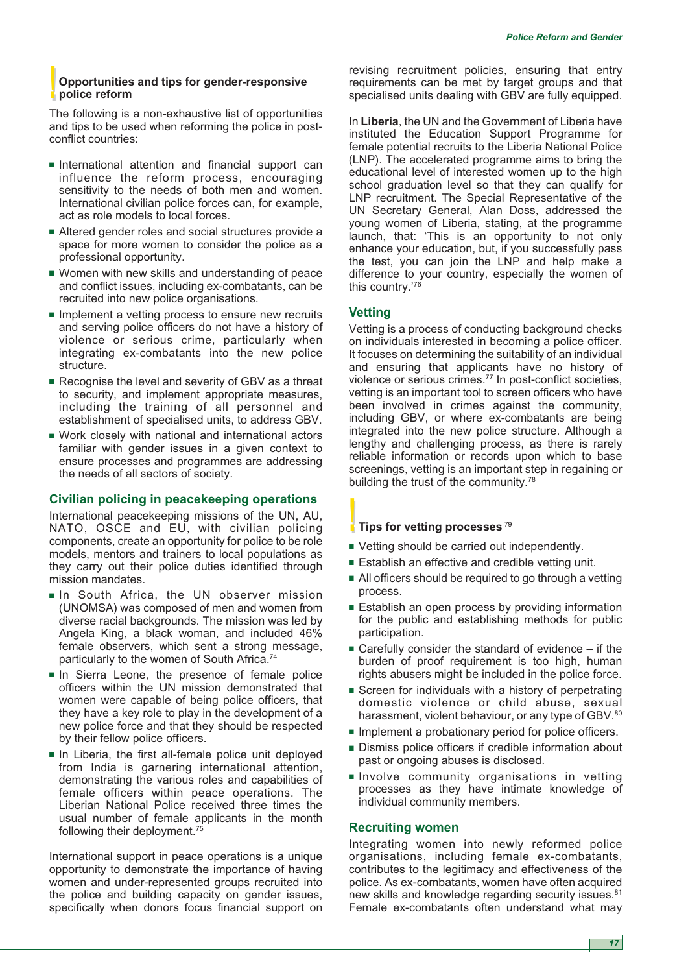# **!!Opportunities and tips for gender-responsive police reform**

The following is a non-exhaustive list of opportunities and tips to be used when reforming the police in postconflict countries:

- **■** International attention and financial support can influence the reform process, encouraging sensitivity to the needs of both men and women. International civilian police forces can, for example, act as role models to local forces.
- Altered gender roles and social structures provide a space for more women to consider the police as a professional opportunity.
- **■** Women with new skills and understanding of peace and conflict issues, including ex-combatants, can be recruited into new police organisations.
- Implement a vetting process to ensure new recruits and serving police officers do not have a history of violence or serious crime, particularly when integrating ex-combatants into the new police structure.
- Recognise the level and severity of GBV as a threat to security, and implement appropriate measures, including the training of all personnel and establishment of specialised units, to address GBV.
- **■** Work closely with national and international actors familiar with gender issues in a given context to ensure processes and programmes are addressing the needs of all sectors of society.

## **Civilian policing in peacekeeping operations**

International peacekeeping missions of the UN, AU, NATO, OSCE and EU, with civilian policing components, create an opportunity for police to be role models, mentors and trainers to local populations as they carry out their police duties identified through mission mandates.

- **■** In South Africa, the UN observer mission (UNOMSA) was composed of men and women from diverse racial backgrounds. The mission was led by Angela King, a black woman, and included 46% female observers, which sent a strong message, particularly to the women of South Africa.<sup>74</sup>
- **■** In Sierra Leone, the presence of female police officers within the UN mission demonstrated that women were capable of being police officers, that they have a key role to play in the development of a new police force and that they should be respected by their fellow police officers.
- **■** In Liberia, the first all-female police unit deployed from India is garnering international attention, demonstrating the various roles and capabilities of female officers within peace operations. The Liberian National Police received three times the usual number of female applicants in the month following their deployment.<sup>75</sup>

International support in peace operations is a unique opportunity to demonstrate the importance of having women and under-represented groups recruited into the police and building capacity on gender issues, specifically when donors focus financial support on

revising recruitment policies, ensuring that entry requirements can be met by target groups and that specialised units dealing with GBV are fully equipped.

In **Liberia**, the UN and the Government of Liberia have instituted the Education Support Programme for female potential recruits to the Liberia National Police (LNP). The accelerated programme aims to bring the educational level of interested women up to the high school graduation level so that they can qualify for LNP recruitment. The Special Representative of the UN Secretary General, Alan Doss, addressed the young women of Liberia, stating, at the programme launch, that: 'This is an opportunity to not only enhance your education, but, if you successfully pass the test, you can join the LNP and help make a difference to your country, especially the women of this country.'76

# **Vetting**

Vetting is a process of conducting background checks on individuals interested in becoming a police officer. It focuses on determining the suitability of an individual and ensuring that applicants have no history of violence or serious crimes.77 In post-conflict societies, vetting is an important tool to screen officers who have been involved in crimes against the community, including GBV, or where ex-combatants are being integrated into the new police structure. Although a lengthy and challenging process, as there is rarely reliable information or records upon which to base screenings, vetting is an important step in regaining or building the trust of the community.<sup>78</sup>

# **I** Tips for vetting processes<sup>79</sup>

- Vetting should be carried out independently.
- Establish an effective and credible vetting unit.
- All officers should be required to go through a vetting process.
- Establish an open process by providing information for the public and establishing methods for public participation.
- Carefully consider the standard of evidence if the burden of proof requirement is too high, human rights abusers might be included in the police force.
- **■** Screen for individuals with a history of perpetrating domestic violence or child abuse, sexual harassment, violent behaviour, or any type of GBV.<sup>80</sup>
- Implement a probationary period for police officers.
- **■** Dismiss police officers if credible information about past or ongoing abuses is disclosed.
- **■** Involve community organisations in vetting processes as they have intimate knowledge of individual community members.

## **Recruiting women**

Integrating women into newly reformed police organisations, including female ex-combatants, contributes to the legitimacy and effectiveness of the police. As ex-combatants, women have often acquired new skills and knowledge regarding security issues.<sup>81</sup> Female ex-combatants often understand what may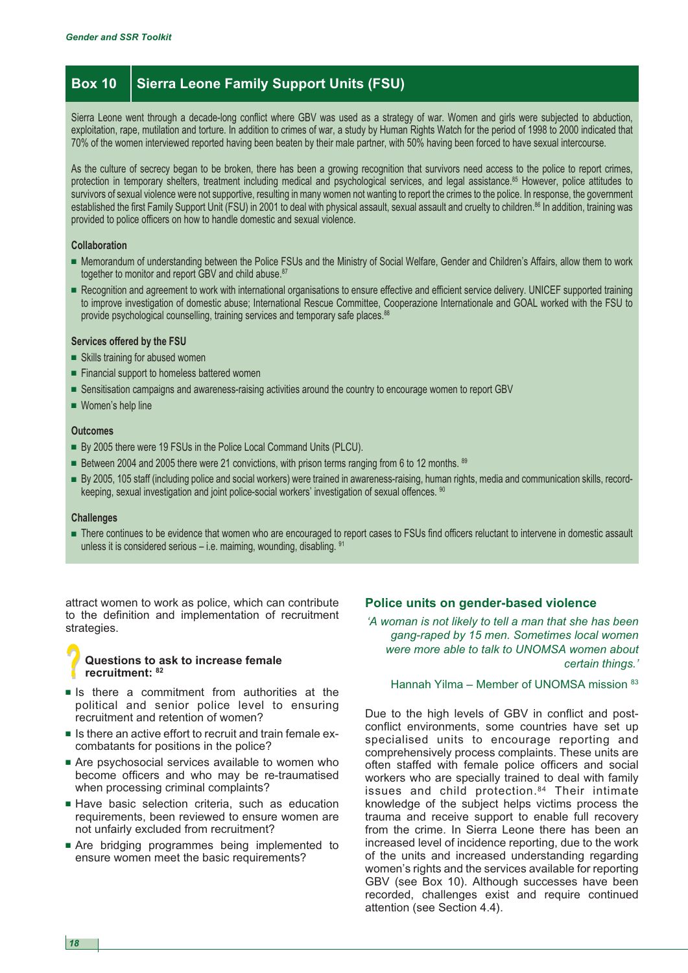# **Box 10 Sierra Leone Family Support Units (FSU)**

Sierra Leone went through a decade-long conflict where GBV was used as a strategy of war. Women and girls were subjected to abduction, exploitation, rape, mutilation and torture. In addition to crimes of war, a study by Human Rights Watch for the period of 1998 to 2000 indicated that 70% of the women interviewed reported having been beaten by their male partner, with 50% having been forced to have sexual intercourse.

As the culture of secrecy began to be broken, there has been a growing recognition that survivors need access to the police to report crimes, protection in temporary shelters, treatment including medical and psychological services, and legal assistance.<sup>85</sup> However, police attitudes to survivors of sexual violence were not supportive, resulting in many women not wanting to report the crimes to the police. In response, the government established the first Family Support Unit (FSU) in 2001 to deal with physical assault, sexual assault and cruelty to children.<sup>86</sup> In addition, training was provided to police officers on how to handle domestic and sexual violence.

#### **Collaboration**

- Memorandum of understanding between the Police FSUs and the Ministry of Social Welfare, Gender and Children's Affairs, allow them to work together to monitor and report GBV and child abuse.<sup>87</sup>
- Recognition and agreement to work with international organisations to ensure effective and efficient service delivery. UNICEF supported training to improve investigation of domestic abuse; International Rescue Committee, Cooperazione Internationale and GOAL worked with the FSU to provide psychological counselling, training services and temporary safe places.<sup>88</sup>

#### **Services offered by the FSU**

- **■** Skills training for abused women
- Financial support to homeless battered women
- **■** Sensitisation campaigns and awareness-raising activities around the country to encourage women to report GBV
- Women's help line

#### **Outcomes**

- **■** By 2005 there were 19 FSUs in the Police Local Command Units (PLCU).
- Between 2004 and 2005 there were 21 convictions, with prison terms ranging from 6 to 12 months. <sup>89</sup>
- **■** By 2005, 105 staff (including police and social workers) were trained in awareness-raising, human rights, media and communication skills, recordkeeping, sexual investigation and joint police-social workers' investigation of sexual offences. <sup>90</sup>

#### **Challenges**

■ There continues to be evidence that women who are encouraged to report cases to FSUs find officers reluctant to intervene in domestic assault unless it is considered serious  $-$  i.e. maiming, wounding, disabling.  $91$ 

attract women to work as police, which can contribute to the definition and implementation of recruitment strategies.

## **?? Questions to ask to increase female recruitment: <sup>82</sup>**

- **■** Is there a commitment from authorities at the political and senior police level to ensuring recruitment and retention of women?
- **■** Is there an active effort to recruit and train female excombatants for positions in the police?
- Are psychosocial services available to women who become officers and who may be re-traumatised when processing criminal complaints?
- **■** Have basic selection criteria, such as education requirements, been reviewed to ensure women are not unfairly excluded from recruitment?
- **■** Are bridging programmes being implemented to ensure women meet the basic requirements?

#### **Police units on gender-based violence**

*'A woman is not likely to tell a man that she has been gang-raped by 15 men. Sometimes local women were more able to talk to UNOMSA women about certain things.'*

Hannah Yilma – Member of UNOMSA mission 83

Due to the high levels of GBV in conflict and postconflict environments, some countries have set up specialised units to encourage reporting and comprehensively process complaints. These units are often staffed with female police officers and social workers who are specially trained to deal with family issues and child protection.<sup>84</sup> Their intimate knowledge of the subject helps victims process the trauma and receive support to enable full recovery from the crime. In Sierra Leone there has been an increased level of incidence reporting, due to the work of the units and increased understanding regarding women's rights and the services available for reporting GBV (see Box 10). Although successes have been recorded, challenges exist and require continued attention (see Section 4.4).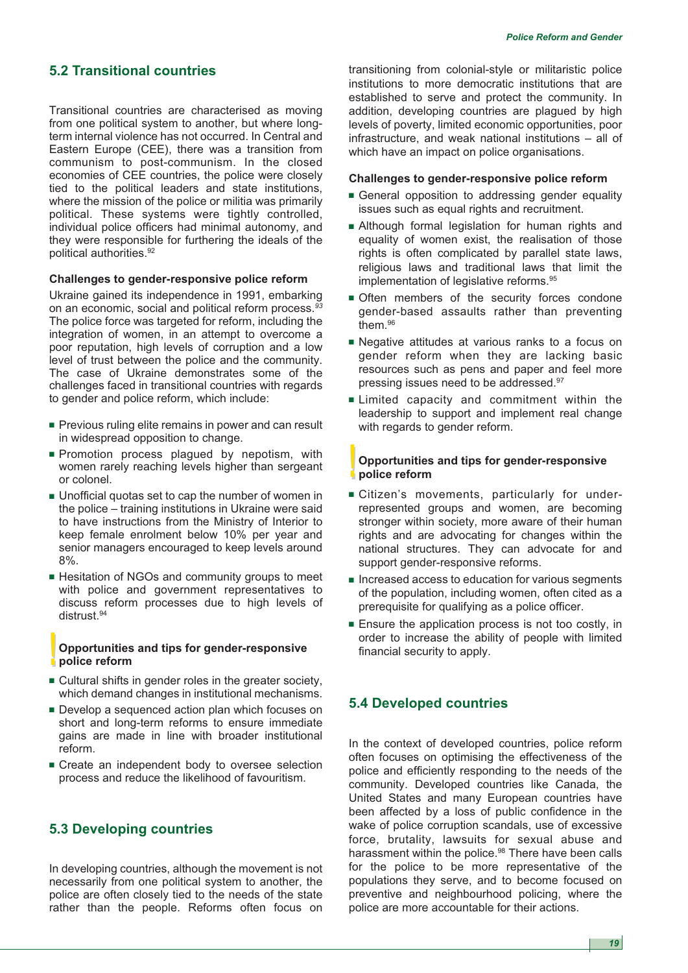# **5.2 Transitional countries**

Transitional countries are characterised as moving from one political system to another, but where longterm internal violence has not occurred. In Central and Eastern Europe (CEE), there was a transition from communism to post-communism. In the closed economies of CEE countries, the police were closely tied to the political leaders and state institutions, where the mission of the police or militia was primarily political. These systems were tightly controlled, individual police officers had minimal autonomy, and they were responsible for furthering the ideals of the political authorities.92

#### **Challenges to gender-responsive police reform**

Ukraine gained its independence in 1991, embarking on an economic, social and political reform process.*<sup>93</sup>* The police force was targeted for reform, including the integration of women, in an attempt to overcome a poor reputation, high levels of corruption and a low level of trust between the police and the community. The case of Ukraine demonstrates some of the challenges faced in transitional countries with regards to gender and police reform, which include:

- **■** Previous ruling elite remains in power and can result in widespread opposition to change.
- **■** Promotion process plagued by nepotism, with women rarely reaching levels higher than sergeant or colonel.
- **■** Unofficial quotas set to cap the number of women in the police – training institutions in Ukraine were said to have instructions from the Ministry of Interior to keep female enrolment below 10% per year and senior managers encouraged to keep levels around 8%.
- Hesitation of NGOs and community groups to meet with police and government representatives to discuss reform processes due to high levels of distrust.<sup>94</sup>

#### **!!Opportunities and tips for gender-responsive police reform**

- **■** Cultural shifts in gender roles in the greater society, which demand changes in institutional mechanisms.
- Develop a sequenced action plan which focuses on short and long-term reforms to ensure immediate gains are made in line with broader institutional reform.
- **■** Create an independent body to oversee selection process and reduce the likelihood of favouritism.

# **5.3 Developing countries**

In developing countries, although the movement is not necessarily from one political system to another, the police are often closely tied to the needs of the state rather than the people. Reforms often focus on transitioning from colonial-style or militaristic police institutions to more democratic institutions that are established to serve and protect the community. In addition, developing countries are plagued by high levels of poverty, limited economic opportunities, poor infrastructure, and weak national institutions – all of which have an impact on police organisations.

#### **Challenges to gender-responsive police reform**

- General opposition to addressing gender equality issues such as equal rights and recruitment.
- **■** Although formal legislation for human rights and equality of women exist, the realisation of those rights is often complicated by parallel state laws, religious laws and traditional laws that limit the implementation of legislative reforms.<sup>95</sup>
- Often members of the security forces condone gender-based assaults rather than preventing them<sup>96</sup>
- Negative attitudes at various ranks to a focus on gender reform when they are lacking basic resources such as pens and paper and feel more pressing issues need to be addressed.97
- **■** Limited capacity and commitment within the leadership to support and implement real change with regards to gender reform.

## **!!Opportunities and tips for gender-responsive police reform**

- **■** Citizen's movements, particularly for underrepresented groups and women, are becoming stronger within society, more aware of their human rights and are advocating for changes within the national structures. They can advocate for and support gender-responsive reforms.
- Increased access to education for various segments of the population, including women, often cited as a prerequisite for qualifying as a police officer.
- Ensure the application process is not too costly, in order to increase the ability of people with limited financial security to apply.

# **5.4 Developed countries**

In the context of developed countries, police reform often focuses on optimising the effectiveness of the police and efficiently responding to the needs of the community. Developed countries like Canada, the United States and many European countries have been affected by a loss of public confidence in the wake of police corruption scandals, use of excessive force, brutality, lawsuits for sexual abuse and harassment within the police.<sup>98</sup> There have been calls for the police to be more representative of the populations they serve, and to become focused on preventive and neighbourhood policing, where the police are more accountable for their actions.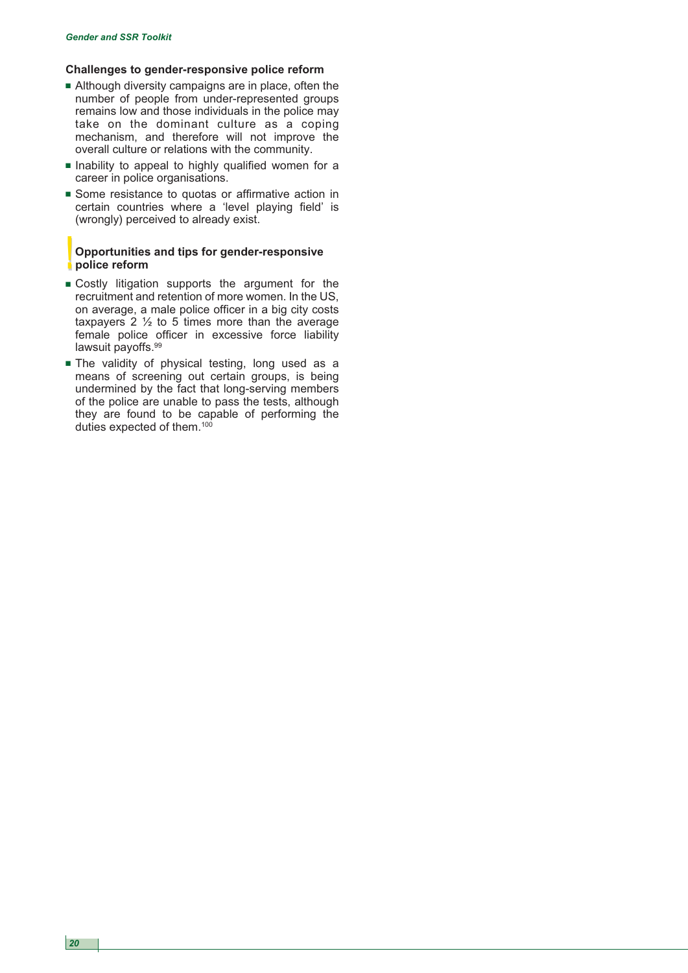# **Challenges to gender-responsive police reform**

- **■** Although diversity campaigns are in place, often the number of people from under-represented groups remains low and those individuals in the police may take on the dominant culture as a coping mechanism, and therefore will not improve the overall culture or relations with the community.
- **■** Inability to appeal to highly qualified women for a career in police organisations.
- Some resistance to quotas or affirmative action in certain countries where a 'level playing field' is (wrongly) perceived to already exist.

## **!!Opportunities and tips for gender-responsive police reform**

- **■** Costly litigation supports the argument for the recruitment and retention of more women. In the US, on average, a male police officer in a big city costs taxpayers 2  $\frac{1}{2}$  to 5 times more than the average female police officer in excessive force liability lawsuit payoffs.<sup>99</sup>
- **■** The validity of physical testing, long used as a means of screening out certain groups, is being undermined by the fact that long-serving members of the police are unable to pass the tests, although they are found to be capable of performing the duties expected of them.<sup>100</sup>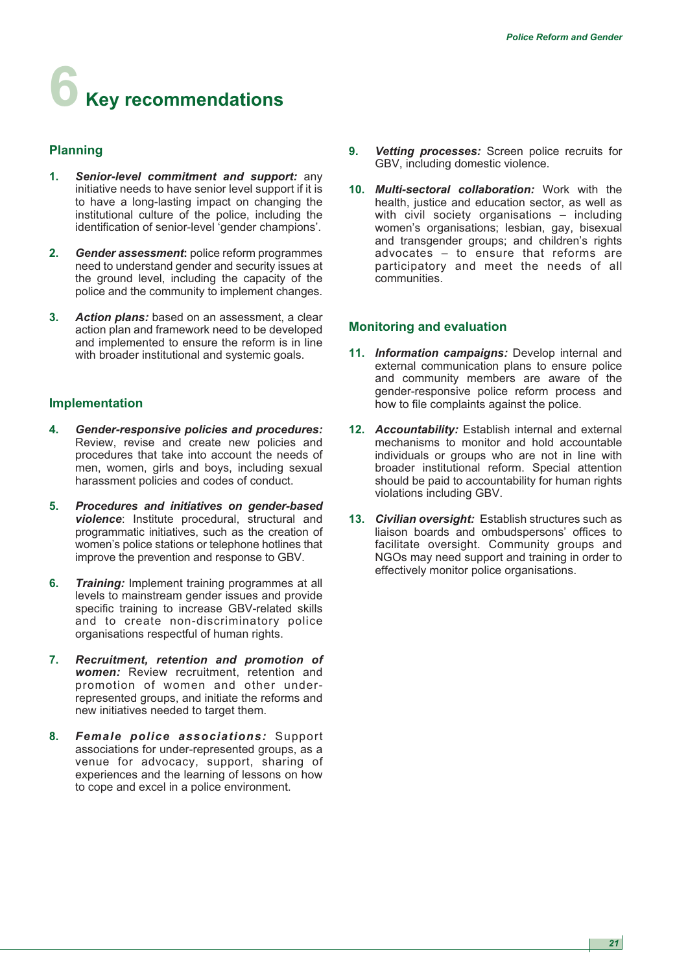# **6 Key recommendations**

# **Planning**

- **1.** *Senior-level commitment and support:* any initiative needs to have senior level support if it is to have a long-lasting impact on changing the institutional culture of the police, including the identification of senior-level 'gender champions'.
- **2.** *Gender assessment***:** police reform programmes need to understand gender and security issues at the ground level, including the capacity of the police and the community to implement changes.
- **3.** *Action plans:* based on an assessment, a clear action plan and framework need to be developed and implemented to ensure the reform is in line with broader institutional and systemic goals.

# **Implementation**

- **4.** *Gender-responsive policies and procedures:* Review, revise and create new policies and procedures that take into account the needs of men, women, girls and boys, including sexual harassment policies and codes of conduct.
- **5.** *Procedures and initiatives on gender-based violence*: Institute procedural, structural and programmatic initiatives, such as the creation of women's police stations or telephone hotlines that improve the prevention and response to GBV.
- **6.** *Training:* Implement training programmes at all levels to mainstream gender issues and provide specific training to increase GBV-related skills and to create non-discriminatory police organisations respectful of human rights.
- **7.** *Recruitment, retention and promotion of women:* Review recruitment, retention and promotion of women and other underrepresented groups, and initiate the reforms and new initiatives needed to target them.
- **8.** *Female police associations:* Support associations for under-represented groups, as a venue for advocacy, support, sharing of experiences and the learning of lessons on how to cope and excel in a police environment.
- **9.** *Vetting processes:* Screen police recruits for GBV, including domestic violence.
- **10.** *Multi-sectoral collaboration:* Work with the health, justice and education sector, as well as with civil society organisations - including women's organisations; lesbian, gay, bisexual and transgender groups; and children's rights advocates – to ensure that reforms are participatory and meet the needs of all communities.

# **Monitoring and evaluation**

- **11.** *Information campaigns:* Develop internal and external communication plans to ensure police and community members are aware of the gender-responsive police reform process and how to file complaints against the police.
- **12.** *Accountability:* Establish internal and external mechanisms to monitor and hold accountable individuals or groups who are not in line with broader institutional reform. Special attention should be paid to accountability for human rights violations including GBV.
- **13.** *Civilian oversight:* Establish structures such as liaison boards and ombudspersons' offices to facilitate oversight. Community groups and NGOs may need support and training in order to effectively monitor police organisations.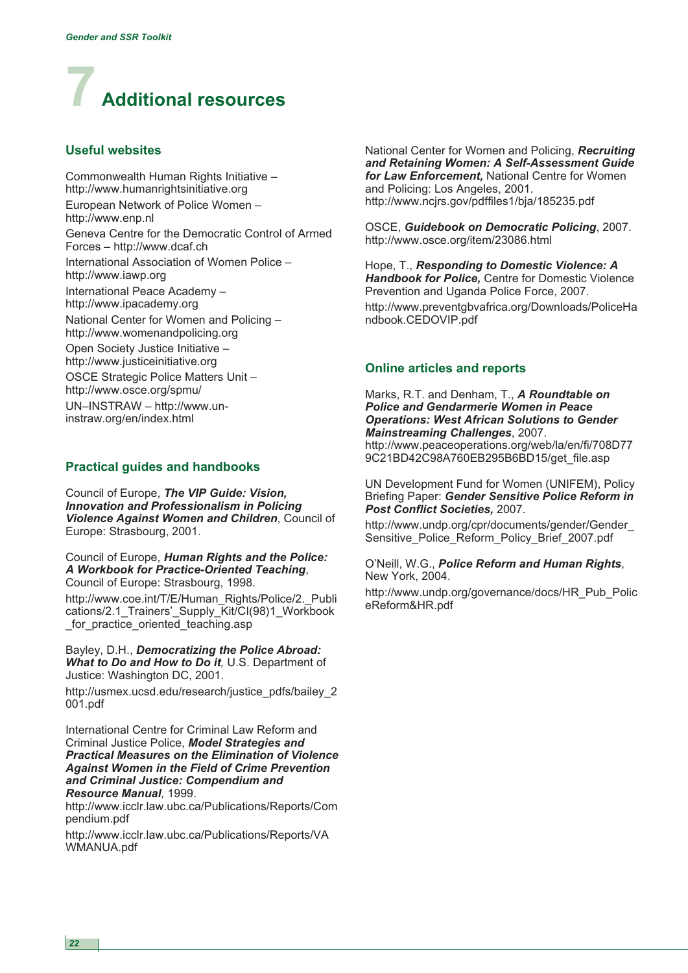

# **Useful websites**

Commonwealth Human Rights Initiative – http://www.humanrightsinitiative.org European Network of Police Women – http://www.enp.nl Geneva Centre for the Democratic Control of Armed Forces – http://www.dcaf.ch International Association of Women Police – http://www.iawp.org International Peace Academy – http://www.ipacademy.org National Center for Women and Policing – http://www.womenandpolicing.org Open Society Justice Initiative – http://www.justiceinitiative.org OSCE Strategic Police Matters Unit – http://www.osce.org/spmu/ UN–INSTRAW – http://www.uninstraw.org/en/index.html

#### **Practical guides and handbooks**

Council of Europe, *The VIP Guide: Vision, Innovation and Professionalism in Policing Violence Against Women and Children*, Council of Europe: Strasbourg, 2001.

Council of Europe, *Human Rights and the Police: A Workbook for Practice-Oriented Teaching*, Council of Europe: Strasbourg, 1998.

http://www.coe.int/T/E/Human\_Rights/Police/2.\_Publi cations/2.1\_Trainers'\_Supply\_Kit/CI(98)1\_Workbook for practice oriented teaching.asp

Bayley, D.H., *Democratizing the Police Abroad: What to Do and How to Do it,* U.S. Department of Justice: Washington DC, 2001.

http://usmex.ucsd.edu/research/justice\_pdfs/bailey\_2 001.pdf

International Centre for Criminal Law Reform and Criminal Justice Police, *Model Strategies and Practical Measures on the Elimination of Violence Against Women in the Field of Crime Prevention and Criminal Justice: Compendium and Resource Manual,* 1999.

http://www.icclr.law.ubc.ca/Publications/Reports/Com pendium.pdf

http://www.icclr.law.ubc.ca/Publications/Reports/VA WMANUA.pdf

National Center for Women and Policing, *Recruiting and Retaining Women: A Self-Assessment Guide for Law Enforcement,* National Centre for Women and Policing: Los Angeles, 2001. http://www.ncjrs.gov/pdffiles1/bja/185235.pdf

OSCE, *Guidebook on Democratic Policing*, 2007. http://www.osce.org/item/23086.html

Hope, T., *Responding to Domestic Violence: A Handbook for Police,* Centre for Domestic Violence Prevention and Uganda Police Force, 2007. http://www.preventgbvafrica.org/Downloads/PoliceHa ndbook.CEDOVIP.pdf

## **Online articles and reports**

Marks, R.T. and Denham, T., *A Roundtable on Police and Gendarmerie Women in Peace Operations: West African Solutions to Gender Mainstreaming Challenges*, 2007. http://www.peaceoperations.org/web/la/en/fi/708D77 9C21BD42C98A760EB295B6BD15/get\_file.asp

UN Development Fund for Women (UNIFEM), Policy Briefing Paper: *Gender Sensitive Police Reform in Post Conflict Societies,* 2007.

http://www.undp.org/cpr/documents/gender/Gender\_ Sensitive\_Police\_Reform\_Policy\_Brief\_2007.pdf

O'Neill, W.G., *Police Reform and Human Rights*, New York, 2004.

http://www.undp.org/governance/docs/HR\_Pub\_Polic eReform&HR.pdf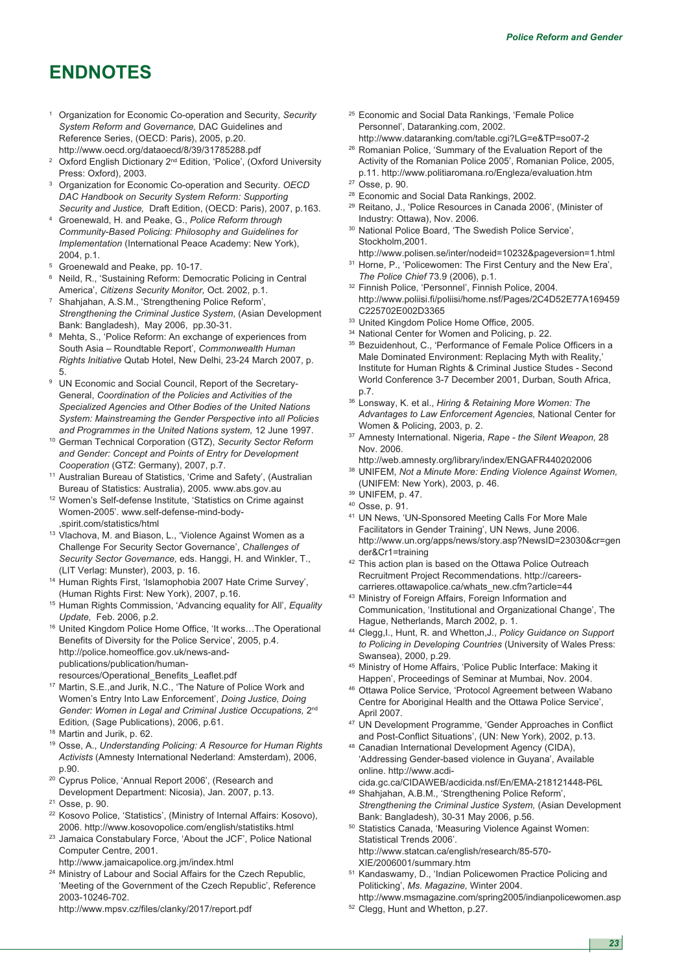# **ENDNOTES**

- <sup>1</sup> Organization for Economic Co-operation and Security, *Security System Reform and Governance,* DAC Guidelines and Reference Series, (OECD: Paris), 2005, p.20. http://www.oecd.org/dataoecd/8/39/31785288.pdf
- <sup>2</sup> Oxford English Dictionary 2<sup>nd</sup> Edition, 'Police', (Oxford University Press: Oxford), 2003.
- <sup>3</sup> Organization for Economic Co-operation and Security. *OECD DAC Handbook on Security System Reform: Supporting Security and Justice,* Draft Edition, (OECD: Paris), 2007, p.163.
- <sup>4</sup> Groenewald, H. and Peake, G., *Police Reform through Community-Based Policing: Philosophy and Guidelines for Implementation* (International Peace Academy: New York), 2004, p.1.
- <sup>5</sup> Groenewald and Peake, pp. 10-17.
- <sup>6</sup> Neild, R., 'Sustaining Reform: Democratic Policing in Central America', *Citizens Security Monitor,* Oct. 2002, p.1.
- <sup>7</sup> Shahjahan, A.S.M., 'Strengthening Police Reform', *Strengthening the Criminal Justice System*, (Asian Development Bank: Bangladesh), May 2006, pp.30-31.
- Mehta, S., 'Police Reform: An exchange of experiences from South Asia – Roundtable Report', *Commonwealth Human Rights Initiative* Qutab Hotel, New Delhi, 23-24 March 2007, p. 5.
- UN Economic and Social Council, Report of the Secretary-General, *Coordination of the Policies and Activities of the Specialized Agencies and Other Bodies of the United Nations System: Mainstreaming the Gender Perspective into all Policies and Programmes in the United Nations system,* 12 June 1997.
- <sup>10</sup> German Technical Corporation (GTZ), *Security Sector Reform and Gender: Concept and Points of Entry for Development Cooperation* (GTZ: Germany), 2007, p.7.
- <sup>11</sup> Australian Bureau of Statistics, 'Crime and Safety', (Australian Bureau of Statistics: Australia), 2005. www.abs.gov.au
- <sup>12</sup> Women's Self-defense Institute, 'Statistics on Crime against Women-2005'. www.self-defense-mind-body- ,spirit.com/statistics/html
- <sup>13</sup> Vlachova, M. and Biason, L., 'Violence Against Women as a Challenge For Security Sector Governance', *Challenges of Security Sector Governance,* eds. Hanggi, H. and Winkler, T., (LIT Verlag: Munster), 2003, p. 16.
- <sup>14</sup> Human Rights First, 'Islamophobia 2007 Hate Crime Survey', (Human Rights First: New York), 2007, p.16.
- <sup>15</sup> Human Rights Commission, 'Advancing equality for All', *Equality Update,* Feb. 2006, p.2.
- <sup>16</sup> United Kingdom Police Home Office, 'It works…The Operational Benefits of Diversity for the Police Service', 2005, p.4. http://police.homeoffice.gov.uk/news-andpublications/publication/humanresources/Operational\_Benefits\_Leaflet.pdf
- <sup>17</sup> Martin, S.E.,and Jurik, N.C., 'The Nature of Police Work and Women's Entry Into Law Enforcement', *Doing Justice, Doing Gender: Women in Legal and Criminal Justice Occupations,* 2nd
- Edition*,* (Sage Publications), 2006, p.61. <sup>18</sup> Martin and Jurik, p. 62.
- <sup>19</sup> Osse, A., *Understanding Policing: A Resource for Human Rights Activists* (Amnesty International Nederland: Amsterdam), 2006, p.90.
- <sup>20</sup> Cyprus Police, 'Annual Report 2006', (Research and Development Department: Nicosia), Jan. 2007, p.13.
- <sup>21</sup> Osse, p. 90.
- <sup>22</sup> Kosovo Police, 'Statistics', (Ministry of Internal Affairs: Kosovo), 2006. http://www.kosovopolice.com/english/statistiks.html
- <sup>23</sup> Jamaica Constabulary Force, 'About the JCF', Police National Computer Centre, 2001.
- http://www.jamaicapolice.org.jm/index.html
- <sup>24</sup> Ministry of Labour and Social Affairs for the Czech Republic, 'Meeting of the Government of the Czech Republic', Reference 2003-10246-702.

http://www.mpsv.cz/files/clanky/2017/report.pdf

- <sup>25</sup> Economic and Social Data Rankings, 'Female Police Personnel', Dataranking.com, 2002.
- http://www.dataranking.com/table.cgi?LG=e&TP=so07-2 <sup>26</sup> Romanian Police, 'Summary of the Evaluation Report of the
- Activity of the Romanian Police 2005', Romanian Police, 2005, p.11. http://www.politiaromana.ro/Engleza/evaluation.htm

- <sup>28</sup> Economic and Social Data Rankings, 2002.
- <sup>29</sup> Reitano, J., 'Police Resources in Canada 2006', (Minister of Industry: Ottawa), Nov. 2006.
- <sup>30</sup> National Police Board, 'The Swedish Police Service', Stockholm,2001.
- http://www.polisen.se/inter/nodeid=10232&pageversion=1.html <sup>31</sup> Horne, P., 'Policewomen: The First Century and the New Era',
- *The Police Chief* 73.9 (2006), p.1. <sup>32</sup> Finnish Police, 'Personnel', Finnish Police, 2004. http://www.poliisi.fi/poliisi/home.nsf/Pages/2C4D52E77A169459 C225702E002D3365
- 33 United Kingdom Police Home Office, 2005.
- <sup>34</sup> National Center for Women and Policing, p. 22.
- <sup>35</sup> Bezuidenhout, C., 'Performance of Female Police Officers in a Male Dominated Environment: Replacing Myth with Reality,' Institute for Human Rights & Criminal Justice Studes - Second World Conference 3-7 December 2001, Durban, South Africa, p.7.
- <sup>36</sup> Lonsway, K. et al., *Hiring & Retaining More Women: The Advantages to Law Enforcement Agencies,* National Center for Women & Policing, 2003, p. 2.
- <sup>37</sup> Amnesty International. Nigeria, *Rape the Silent Weapon,* 28 Nov. 2006.
	- http://web.amnesty.org/library/index/ENGAFR440202006
- <sup>38</sup> UNIFEM, *Not a Minute More: Ending Violence Against Women,* (UNIFEM: New York), 2003, p. 46.

- <sup>40</sup> Osse, p. 91.
- <sup>41</sup> UN News, 'UN-Sponsored Meeting Calls For More Male Facilitators in Gender Training', UN News, June 2006. http://www.un.org/apps/news/story.asp?NewsID=23030&cr=gen der&Cr1=training
- <sup>42</sup> This action plan is based on the Ottawa Police Outreach Recruitment Project Recommendations. http://careerscarrieres.ottawapolice.ca/whats\_new.cfm?article=44
- <sup>43</sup> Ministry of Foreign Affairs, Foreign Information and Communication, 'Institutional and Organizational Change', The Hague, Netherlands, March 2002, p. 1.
- <sup>44</sup> Clegg,I., Hunt, R. and Whetton,J., *Policy Guidance on Support to Policing in Developing Countries* (University of Wales Press: Swansea), 2000, p.29.
- <sup>45</sup> Ministry of Home Affairs, 'Police Public Interface: Making it Happen', Proceedings of Seminar at Mumbai, Nov. 2004.
- <sup>46</sup> Ottawa Police Service, 'Protocol Agreement between Wabano Centre for Aboriginal Health and the Ottawa Police Service', April 2007.
- <sup>47</sup> UN Development Programme, 'Gender Approaches in Conflict and Post-Conflict Situations', (UN: New York), 2002, p.13.
- <sup>48</sup> Canadian International Development Agency (CIDA), 'Addressing Gender-based violence in Guyana', Available online. http://www.acdi-
- cida.gc.ca/CIDAWEB/acdicida.nsf/En/EMA-218121448-P6L <sup>49</sup> Shahjahan, A.B.M., 'Strengthening Police Reform', *Strengthening the Criminal Justice System,* (Asian Development Bank: Bangladesh), 30-31 May 2006, p.56.
- <sup>50</sup> Statistics Canada, 'Measuring Violence Against Women: Statistical Trends 2006'. http://www.statcan.ca/english/research/85-570- XIE/2006001/summary.htm
- <sup>51</sup> Kandaswamy, D., 'Indian Policewomen Practice Policing and Politicking', *Ms. Magazine,* Winter 2004.
- http://www.msmagazine.com/spring2005/indianpolicewomen.asp <sup>52</sup> Clegg, Hunt and Whetton, p.27.

<sup>27</sup> Osse, p. 90.

<sup>39</sup> UNIFEM, p. 47.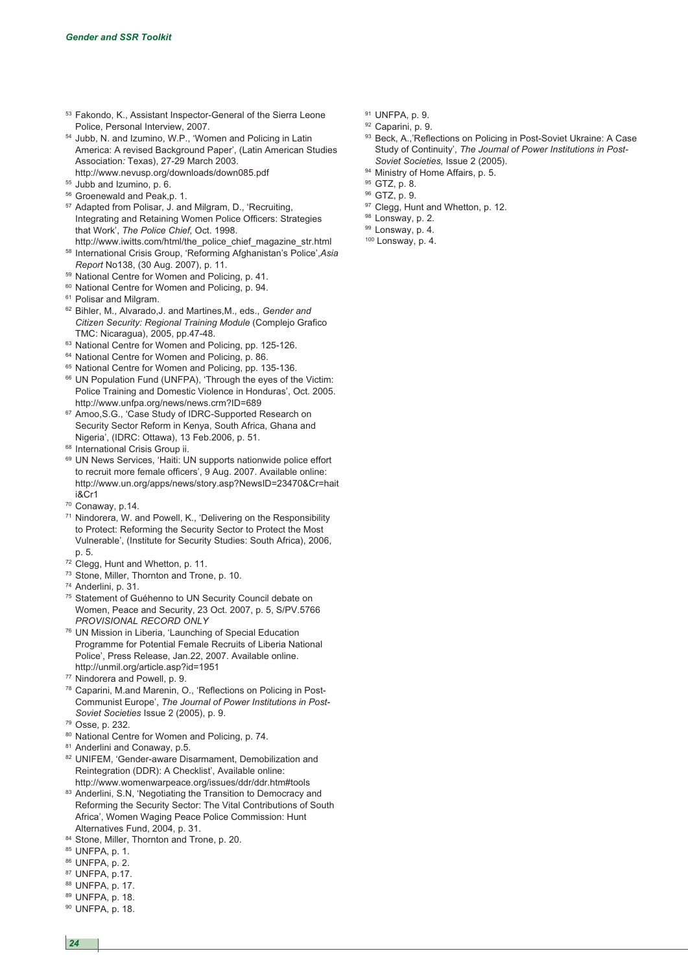- <sup>53</sup> Fakondo, K., Assistant Inspector-General of the Sierra Leone Police, Personal Interview, 2007.
- <sup>54</sup> Jubb, N. and Izumino, W.P., 'Women and Policing in Latin America: A revised Background Paper', (Latin American Studies Association*:* Texas), 27-29 March 2003. http://www.nevusp.org/downloads/down085.pdf
- <sup>55</sup> Jubb and Izumino, p. 6.
- <sup>56</sup> Groenewald and Peak,p. 1.
- <sup>57</sup> Adapted from Polisar, J. and Milgram, D., 'Recruiting, Integrating and Retaining Women Police Officers: Strategies that Work', *The Police Chief,* Oct. 1998.
- http://www.iwitts.com/html/the\_police\_chief\_magazine\_str.html <sup>58</sup> International Crisis Group, 'Reforming Afghanistan's Police',*Asia Report* No138, (30 Aug. 2007), p. 11.
- <sup>59</sup> National Centre for Women and Policing, p. 41.
- <sup>60</sup> National Centre for Women and Policing, p. 94.
- <sup>61</sup> Polisar and Milgram.
- <sup>62</sup> Bihler, M., Alvarado,J. and Martines,M., eds., *Gender and Citizen Security: Regional Training Module* (Complejo Grafico TMC: Nicaragua), 2005, pp.47-48.
- <sup>63</sup> National Centre for Women and Policing, pp. 125-126.
- <sup>64</sup> National Centre for Women and Policing, p. 86.
- <sup>65</sup> National Centre for Women and Policing, pp. 135-136.
- <sup>66</sup> UN Population Fund (UNFPA), 'Through the eyes of the Victim: Police Training and Domestic Violence in Honduras', Oct. 2005. http://www.unfpa.org/news/news.crm?ID=689
- <sup>67</sup> Amoo,S.G., 'Case Study of IDRC-Supported Research on Security Sector Reform in Kenya, South Africa, Ghana and Nigeria', (IDRC: Ottawa), 13 Feb.2006, p. 51.
- <sup>68</sup> International Crisis Group ii.
- <sup>69</sup> UN News Services, 'Haiti: UN supports nationwide police effort to recruit more female officers', 9 Aug. 2007. Available online: http://www.un.org/apps/news/story.asp?NewsID=23470&Cr=hait i&Cr1
- <sup>70</sup> Conaway, p.14.
- <sup>71</sup> Nindorera, W. and Powell, K., 'Delivering on the Responsibility to Protect: Reforming the Security Sector to Protect the Most Vulnerable', (Institute for Security Studies: South Africa), 2006, p. 5.
- <sup>72</sup> Clegg, Hunt and Whetton, p. 11.
- <sup>73</sup> Stone, Miller, Thornton and Trone, p. 10.
- <sup>74</sup> Anderlini, p. 31.
- <sup>75</sup> Statement of Guéhenno to UN Security Council debate on Women, Peace and Security, 23 Oct. 2007, p. 5, S/PV.5766 *PROVISIONAL RECORD ONLY*
- <sup>76</sup> UN Mission in Liberia, 'Launching of Special Education Programme for Potential Female Recruits of Liberia National Police', Press Release, Jan.22, 2007. Available online. http://unmil.org/article.asp?id=1951
- <sup>77</sup> Nindorera and Powell, p. 9.
- <sup>78</sup> Caparini, M.and Marenin, O., 'Reflections on Policing in Post-Communist Europe', *The Journal of Power Institutions in Post-Soviet Societies* Issue 2 (2005), p. 9.
- <sup>79</sup> Osse, p. 232.
- 80 National Centre for Women and Policing, p. 74.
- 81 Anderlini and Conaway, p.5.
- 82 UNIFEM, 'Gender-aware Disarmament, Demobilization and Reintegration (DDR): A Checklist', Available online: http://www.womenwarpeace.org/issues/ddr/ddr.htm#tools
- 83 Anderlini, S.N, 'Negotiating the Transition to Democracy and Reforming the Security Sector: The Vital Contributions of South Africa', Women Waging Peace Police Commission: Hunt Alternatives Fund, 2004, p. 31.
- 84 Stone, Miller, Thornton and Trone, p. 20.
- <sup>85</sup> UNFPA, p. 1.
- <sup>86</sup> UNFPA, p. 2.
- <sup>87</sup> UNFPA, p.17.
- <sup>88</sup> UNFPA, p. 17.
- <sup>89</sup> UNFPA, p. 18.
- <sup>90</sup> UNFPA, p. 18.
- <sup>91</sup> UNFPA, p. 9.
- 92 Caparini, p. 9.
- 93 Beck, A.,'Reflections on Policing in Post-Soviet Ukraine: A Case Study of Continuity', *The Journal of Power Institutions in Post-Soviet Societies,* Issue 2 (2005).
- 94 Ministry of Home Affairs, p. 5.
- <sup>95</sup> GTZ, p. 8.
- <sup>96</sup> GTZ, p. 9.
- 97 Clegg, Hunt and Whetton, p. 12.
- 98 Lonsway, p. 2.
- 99 Lonsway, p. 4.
- <sup>100</sup> Lonsway, p. 4.